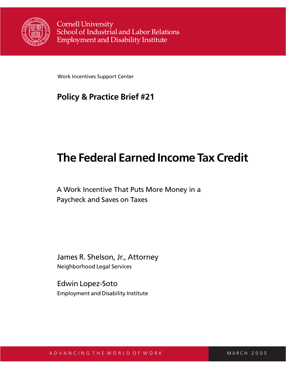

**Cornell University** School of Industrial and Labor Relations **Employment and Disability Institute** 

Work Incentives Support Center

# **Policy & Practice Brief #21**

# **The Federal Earned Income Tax Credit**

A Work Incentive That Puts More Money in a Paycheck and Saves on Taxes

James R. Shelson, Jr., Attorney Neighborhood Legal Services

Edwin Lopez-Soto Employment and Disability Institute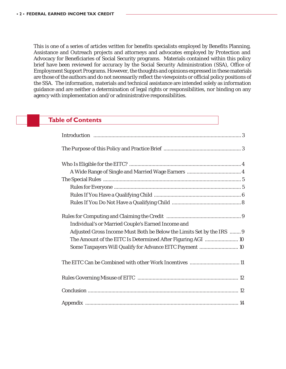This is one of a series of articles written for benefits specialists employed by Benefits Planning, Assistance and Outreach projects and attorneys and advocates employed by Protection and Advocacy for Beneficiaries of Social Security programs. Materials contained within this policy brief have been reviewed for accuracy by the Social Security Administration (SSA), Office of Employment Support Programs. However, the thoughts and opinions expressed in these materials are those of the authors and do not necessarily reflect the viewpoints or official policy positions of the SSA. The information, materials and technical assistance are intended solely as information guidance and are neither a determination of legal rights or responsibilities, nor binding on any agency with implementation and/or administrative responsibilities.

#### **Table of Contents**

| Individual's or Married Couple's Earned Income and                    |
|-----------------------------------------------------------------------|
| Adjusted Gross Income Must Both be Below the Limits Set by the IRS  9 |
| The Amount of the EITC Is Determined After Figuring AGI  10           |
| Some Taxpayers Will Qualify for Advance EITC Payment  10              |
|                                                                       |
|                                                                       |
|                                                                       |
|                                                                       |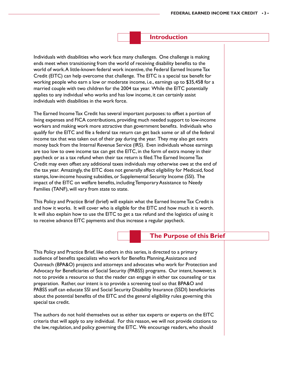#### **Introduction**

Individuals with disabilities who work face many challenges. One challenge is making ends meet when transitioning from the world of receiving disability benefits to the world of work. A little-known federal work incentive, the Federal Earned Income Tax Credit (EITC) can help overcome that challenge. The EITC is a special tax benefit for working people who earn a low or moderate income, i.e., earnings up to \$35,458 for a married couple with two children for the 2004 tax year. While the EITC potentially applies to any individual who works and has low income, it can certainly assist individuals with disabilities in the work force.

The Earned Income Tax Credit has several important purposes: to offset a portion of living expenses and FICA contributions, providing much needed support to low-income workers and making work more attractive than government benefits. Individuals who qualify for the EITC and file a federal tax return can get back some or all of the federal income tax that was taken out of their pay during the year. They may also get extra money back from the Internal Revenue Service (IRS). Even individuals whose earnings are too low to owe income tax can get the EITC, in the form of extra money in their paycheck or as a tax refund when their tax return is filed. The Earned Income Tax Credit may even offset any additional taxes individuals may otherwise owe at the end of the tax year. Amazingly, the EITC does not generally affect eligibility for Medicaid, food stamps, low-income housing subsidies, or Supplemental Security Income (SSI). The impact of the EITC on welfare benefits, including Temporary Assistance to Needy Families (TANF), will vary from state to state.

This Policy and Practice Brief (brief) will explain what the Earned Income Tax Credit is and how it works. It will cover who is eligible for the EITC and how much it is worth. It will also explain how to use the EITC to get a tax refund and the logistics of using it to receive advance EITC payments and thus increase a regular paycheck.

#### **The Purpose of this Brief**

This Policy and Practice Brief, like others in this series, is directed to a primary audience of benefits specialists who work for Benefits Planning, Assistance and Outreach (BPA&O) projects and attorneys and advocates who work for Protection and Advocacy for Beneficiaries of Social Security (PABSS) programs. Our intent, however, is not to provide a resource so that the reader can engage in either tax counseling or tax preparation. Rather, our intent is to provide a screening tool so that BPA&O and PABSS staff can educate SSI and Social Security Disability Insurance (SSDI) beneficiaries about the potential benefits of the EITC and the general eligibility rules governing this special tax credit.

The authors do not hold themselves out as either tax experts or experts on the EITC criteria that will apply to any individual. For this reason, we will not provide citations to the law, regulation, and policy governing the EITC. We encourage readers, who should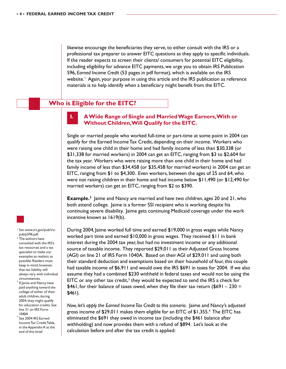likewise encourage the beneficiaries they serve, to either consult with the IRS or a professional tax preparer to answer EITC questions as they apply to specific individuals. If the reader expects to screen their clients/ consumers for potential EITC eligibility, including eligibility for advance EITC payments, we urge you to obtain IRS Publication 596, *Earned Income Credit* (53 pages in pdf format), which is available on the IRS website.<sup>1</sup> Again, your purpose in using this article and the IRS publication as reference materials is to help identify when a beneficiary might benefit from the EITC.

#### **Who is Eligible for the EITC?**



#### **I. A Wide Range of Single and Married Wage Earners, With or Without Children, Will Qualify for the EITC.**

Single or married people who worked full-time or part-time at some point in 2004 can qualify for the Earned Income Tax Credit, depending on their income. Workers who were raising one child in their home and had family income of less than \$30,338 (or \$31,338 for married workers) in 2004 can get an EITC, ranging from \$3 to \$2,604 for the tax year. Workers who were raising more than one child in their home and had family income of less than \$34,458 (or \$35,458 for married workers) in 2004 can get an EITC, ranging from \$1 to \$4,300. Even workers, between the ages of 25 and 64, who were not raising children in their home and had income below \$11,490 (or \$12,490 for married workers) can get an EITC, ranging from \$2 to \$390.

**Example.**<sup>2</sup> Jaime and Nancy are married and have two children, ages 20 and 21, who both attend college. Jaime is a former SSI recipient who is working despite his continuing severe disability. Jaime gets continuing Medicaid coverage under the work incentive known as 1619(b).

During 2004, Jaime worked full time and earned \$19,000 in gross wages while Nancy worked part time and earned \$10,000 in gross wages. They received \$11 in bank interest during the 2004 tax year, but had no investment income or any additional source of taxable income. They reported \$29,011 as their Adjusted Gross Income (AGI) on line 21 of IRS Form 1040A. Based on their AGI of \$29,011 and using both their standard deduction and exemptions based on their household of four, this couple had taxable income of \$6,911 and would owe the IRS \$691 in taxes for 2004. If we also assume they had a combined \$230 withheld in federal taxes and would not be using the EITC or any other tax credit, $3$  they would be expected to send the IRS a check for  $$461,$  for their balance of taxes owed, when they file their tax return (\$691 – 230 = \$461).

*Now, let's apply the Earned Income Tax Credit to this scenario.* Jaime and Nancy's adjusted gross income of \$29,011 makes them eligible for an EITC of \$1,355.4 The EITC has eliminated the \$691 they owed in income tax (including the \$461 balance after withholding) and now provides them with a refund of \$894. Let's look at the calculation before and after the tax credit is applied:

<sup>1</sup> *See* www.irs.gov/pub/irspub/p596.pdf.

- 2 The authors have consulted with the IRS's tax resources and a tax specialist to make our examples as realistic as possible. Readers must keep in mind, however, that tax liability will always vary with individual circumstances.
- If Jamie and Nancy have paid anything toward the college of either of their adult children, during 2004, they might qualify for education credits. See line 31 on IRS Form 1040A
- See 2004 IRS Earned Income Tax Credit Table, in the Appendix A at the end of this brief.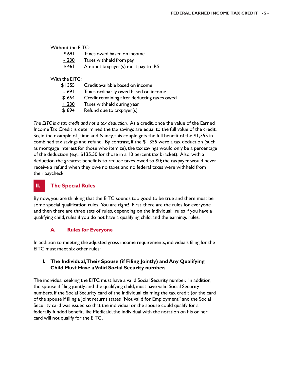#### Without the EITC:

- \$ 691 Taxes owed based on income
- 230 Taxes withheld from pay
- \$ 461 Amount taxpayer(s) must pay to IRS

#### With the EITC:

- \$ 1355 Credit available based on income
- 691 Taxes ordinarily owed based on income
- \$ 664 Credit remaining after deducting taxes owed
- $+$  230 Taxes withheld during year
- \$ 894 Refund due to taxpayer(s)

*The EITC is a tax credit and not a tax deduction.* As a credit, once the value of the Earned Income Tax Credit is determined the tax savings are equal to the full value of the credit. So, in the example of Jaime and Nancy, this couple gets the full benefit of the \$1,355 in combined tax savings and refund. By contrast, if the \$1,355 were a tax deduction (such as mortgage interest for those who itemize), the tax savings would only be a percentage of the deduction (e.g., \$135.50 for those in a 10 percent tax bracket). Also, with a deduction the greatest benefit is to reduce taxes owed to \$0; the taxpayer would never receive a refund when they owe no taxes and no federal taxes were withheld from their paycheck.

### **II. The Special Rules**

By now, you are thinking that the EITC sounds too good to be true and there must be some special qualification rules. You are right! First, there are the rules for everyone and then there are three sets of rules, depending on the individual: rules if you have a qualifying child, rules if you do not have a qualifying child, and the earnings rules.

#### **A. Rules for Everyone**

In addition to meeting the adjusted gross income requirements, individuals filing for the EITC must meet six other rules:

#### **1. The Individual, Their Spouse (if Filing Jointly) and Any Qualifying Child Must Have a Valid Social Security number.**

The individual seeking the EITC must have a valid Social Security number. In addition, the spouse if filing jointly, and the qualifying child, must have valid Social Security numbers. If the Social Security card of the individual claiming the tax credit (or the card of the spouse if filing a joint return) states "Not valid for Employment" and the Social Security card was issued so that the individual or the spouse could qualify for a federally funded benefit, like Medicaid, the individual with the notation on his or her card will not qualify for the EITC.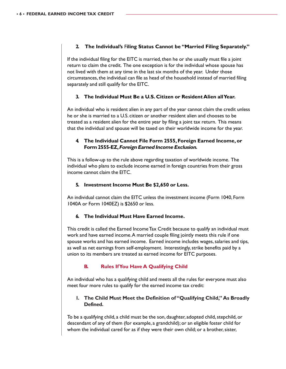#### **2. The Individual's** F**iling Status Cannot be "Married Filing Separately."**

If the individual filing for the EITC is married, then he or she usually must file a joint return to claim the credit. The one exception is for the individual whose spouse has not lived with them at any time in the last six months of the year. Under those circumstances, the individual can file as head of the household instead of married filing separately and still qualify for the EITC.

#### **3. The Individual Must Be a U.S. Citizen or Resident Alien all Year.**

An individual who is resident alien in any part of the year cannot claim the credit unless he or she is married to a U.S. citizen or another resident alien and chooses to be treated as a resident alien for the entire year by filing a joint tax return. This means that the individual and spouse will be taxed on their worldwide income for the year.

#### **4. The Individual Cannot File Form 2555, Foreign Earned Income, or Form 2555-EZ, Foreign Earned Income Exclusion.**

This is a follow-up to the rule above regarding taxation of worldwide income. The individual who plans to exclude income earned in foreign countries from their gross income cannot claim the EITC.

#### **5. Investment Income Must Be \$2,650 or Less.**

An individual cannot claim the EITC unless the investment income (Form 1040, Form 1040A or Form 1040EZ) is \$2650 or less.

#### **6. The Individual Must Have Earned Income.**

This credit is called the Earned Income Tax Credit because to qualify an individual must work and have earned income. A married couple filing jointly meets this rule if one spouse works and has earned income. Earned income includes wages, salaries and tips, as well as net earnings from self-employment. Interestingly, strike benefits paid by a union to its members are treated as earned income for EITC purposes.

#### **B. Rules If You Have A Qualifying Child**

An individual who has a qualifying child and meets all the rules for everyone must also meet four more rules to qualify for the earned income tax credit:

#### **1. The Child Must Meet the Definition of "Qualifying Child," As Broadly Defined.**

To be a qualifying child, a child must be the son, daughter, adopted child, stepchild, or descendant of any of them (for example, a grandchild); or an eligible foster child for whom the individual cared for as if they were their own child; or a brother, sister,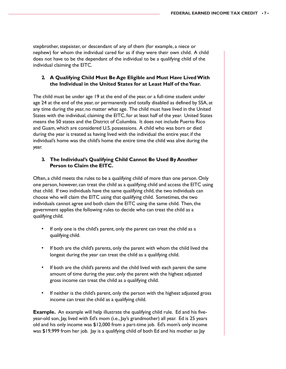stepbrother, stepsister, or descendant of any of them (for example, a niece or nephew) for whom the individual cared for as if they were their own child. A child does not have to be the dependant of the individual to be a qualifying child of the individual claiming the EITC.

#### **2. A Qualifying Child Must Be Age Eligible and Must Have Lived With the Individual in the United States for at Least Half of the Year.**

The child must be under age 19 at the end of the year, or a full-time student under age 24 at the end of the year, or permanently and totally disabled as defined by SSA, at any time during the year, no matter what age. The child must have lived in the United States with the individual, claiming the EITC, for at least half of the year. United States means the 50 states and the District of Columbia. It does not include Puerto Rico and Guam, which are considered U.S. possessions. A child who was born or died during the year is treated as having lived with the individual the entire year, if the individual's home was the child's home the entire time the child was alive during the year.

#### **3. The Individual's Qualifying Child Cannot Be Used By Another Person to Claim the EITC.**

Often, a child meets the rules to be a qualifying child of more than one person. Only one person, however, can treat the child as a qualifying child and access the EITC using that child. If two individuals have the same qualifying child, the two individuals can choose who will claim the EITC using that qualifying child. Sometimes, the two individuals cannot agree and both claim the EITC using the same child. Then, the government applies the following rules to decide who can treat the child as a qualifying child.

- If only one is the child's parent, only the parent can treat the child as a qualifying child.
- If both are the child's parents, only the parent with whom the child lived the longest during the year can treat the child as a qualifying child.
- If both are the child's parents and the child lived with each parent the same amount of time during the year, only the parent with the highest adjusted gross income can treat the child as a qualifying child.
- If neither is the child's parent, only the person with the highest adjusted gross income can treat the child as a qualifying child.

**Example.** An example will help illustrate the qualifying child rule. Ed and his fiveyear-old son, Jay, lived with Ed's mom (i.e., Jay's grandmother) all year. Ed is 25 years old and his only income was \$12,000 from a part-time job. Ed's mom's only income was \$19,999 from her job. Jay is a qualifying child of both Ed and his mother as Jay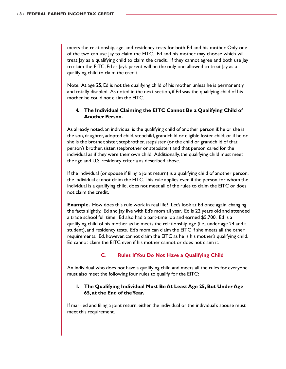meets the relationship, age, and residency tests for both Ed and his mother. Only one of the two can use Jay to claim the EITC. Ed and his mother may choose which will treat Jay as a qualifying child to claim the credit. If they cannot agree and both use Jay to claim the EITC, Ed as Jay's parent will be the only one allowed to treat Jay as a qualifying child to claim the credit.

Note: At age 25, Ed is not the qualifying child of his mother unless he is permanently and totally disabled. As noted in the next section, if Ed was the qualifying child of his mother, he could not claim the EITC.

#### **4. The Individual Claiming the EITC Cannot Be a Qualifying Child of Another Person.**

As already noted, an individual is the qualifying child of another person if: he or she is the son, daughter, adopted child, stepchild, grandchild or eligible foster child; or if he or she is the brother, sister, stepbrother, stepsister (or the child or grandchild of that person's brother, sister, stepbrother or stepsister) and that person cared for the individual as if they were their own child. Additionally, the qualifying child must meet the age and U.S. residency criteria as described above.

If the individual (or spouse if filing a joint return) is a qualifying child of another person, the individual cannot claim the EITC. This rule applies even if the person, for whom the individual is a qualifying child, does not meet all of the rules to claim the EITC or does not claim the credit.

**Example.** How does this rule work in real life? Let's look at Ed once again, changing the facts slightly. Ed and Jay live with Ed's mom all year. Ed is 22 years old and attended a trade school full time. Ed also had a part-time job and earned \$5,700. Ed is a qualifying child of his mother as he meets the relationship, age (i.e., under age 24 and a student), and residency tests. Ed's mom can claim the EITC if she meets all the other requirements. Ed, however, cannot claim the EITC as he is his mother's qualifying child. Ed cannot claim the EITC even if his mother cannot or does not claim it.

# **C. Rules If You Do Not Have a Qualifying Child**

An individual who does not have a qualifying child and meets all the rules for everyone must also meet the following four rules to qualify for the EITC:

#### **1. The Qualifying Individual Must Be At Least Age 25, But Under Age 65, at the End of the Year.**

If married and filing a joint return, either the individual or the individual's spouse must meet this requirement.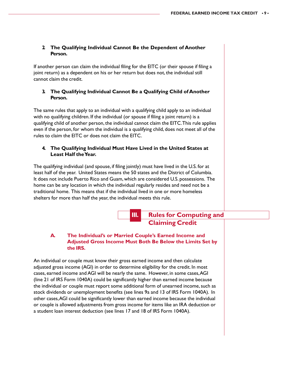#### **2. The Qualifying Individual Cannot Be the Dependent of Another Person.**

If another person can claim the individual filing for the EITC (or their spouse if filing a joint return) as a dependent on his or her return but does not, the individual still cannot claim the credit.

#### **3. The Qualifying Individual Cannot Be a Qualifying Child of Another Person.**

The same rules that apply to an individual with a qualifying child apply to an individual with no qualifying children. If the individual (or spouse if filing a joint return) is a qualifying child of another person, the individual cannot claim the EITC. This rule applies even if the person, for whom the individual is a qualifying child, does not meet all of the rules to claim the EITC or does not claim the EITC.

#### **4. The Qualifying Individual Must Have Lived in the United States at Least Half the Year.**

The qualifying individual (and spouse, if filing jointly) must have lived in the U.S. for at least half of the year. United States means the 50 states and the District of Columbia. It does not include Puerto Rico and Guam, which are considered U.S. possessions. The home can be any location in which the individual regularly resides and need not be a traditional home. This means that if the individual lived in one or more homeless shelters for more than half the year, the individual meets this rule.

# **III. Rules for Computing and Claiming Credit**

#### **A. The Individual's or Married Couple's Earned Income and Adjusted Gross Income Must Both Be Below the Limits Set by the IRS.**

An individual or couple must know their gross earned income and then calculate adjusted gross income (AGI) in order to determine eligibility for the credit. In most cases, earned income and AGI will be nearly the same. However, in some cases, AGI (line 21 of IRS Form 1040A) could be significantly higher than earned income because the individual or couple must report some additional form of unearned income, such as stock dividends or unemployment benefits (see lines 9a and 13 of IRS Form 1040A). In other cases, AGI could be significantly lower than earned income because the individual or couple is allowed adjustments from gross income for items like an IRA deduction or a student loan interest deduction (see lines 17 and 18 of IRS Form 1040A).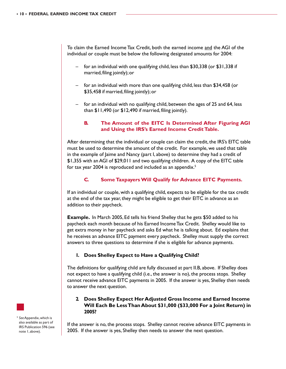To claim the Earned Income Tax Credit, both the earned income and the AGI of the individual or couple must be below the following designated amounts for 2004:

- for an individual with one qualifying child, less than \$30,338 (or \$31,338 if married, filing jointly); or
- for an individual with more than one qualifying child, less than \$34,458 (or \$35,458 if married, filing jointly); or
- for an individual with no qualifying child, between the ages of 25 and 64, less than \$11,490 (or \$12,490 if married, filing jointly).

#### **B. The Amount of the EITC Is Determined After Figuring AGI and Using the IRS's Earned Income Credit Table.**

After determining that the individual or couple can claim the credit, the IRS's EITC table must be used to determine the amount of the credit. For example, we used that table in the example of Jaime and Nancy (part I, above) to determine they had a credit of \$1,355 with an AGI of \$29,011 and two qualifying children. A copy of the EITC table for tax year 2004 is reproduced and included as an appendix.<sup>5</sup>

#### **C. Some Taxpayers Will Qualify for Advance EITC Payments.**

If an individual or couple, with a qualifying child, expects to be eligible for the tax credit at the end of the tax year, they might be eligible to get their EITC in advance as an addition to their paycheck.

**Example.** In March 2005, Ed tells his friend Shelley that he gets \$50 added to his paycheck each month because of his Earned Income Tax Credit. Shelley would like to get extra money in her paycheck and asks Ed what he is talking about. Ed explains that he receives an advance EITC payment every paycheck. Shelley must supply the correct answers to three questions to determine if she is eligible for advance payments.

#### **1. Does Shelley Expect to Have a Qualifying Child?**

The definitions for qualifying child are fully discussed at part II.B, above. If Shelley does not expect to have a qualifying child (i.e., the answer is no), the process stops. Shelley cannot receive advance EITC payments in 2005. If the answer is yes, Shelley then needs to answer the next question.

#### **2. Does Shelley Expect Her Adjusted Gross Income and Earned Income Will Each Be Less Than About \$31,000 (\$33,000 For a Joint Return) in 2005?**

If the answer is no, the process stops. Shelley cannot receive advance EITC payments in 2005. If the answer is yes, Shelley then needs to answer the next question.



<sup>5</sup> *See* Appendix, which is also available as part of IRS Publication 596 (see note 1, above).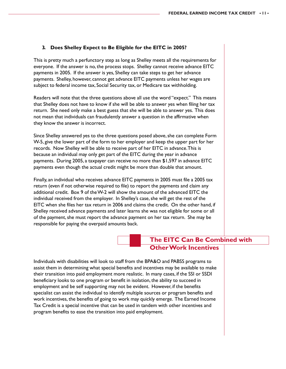#### **3. Does Shelley Expect to Be Eligible for the EITC in 2005?**

This is pretty much a perfunctory step as long as Shelley meets all the requirements for everyone. If the answer is no, the process stops. Shelley cannot receive advance EITC payments in 2005. If the answer is yes, Shelley can take steps to get her advance payments. Shelley, however, cannot get advance EITC payments unless her wages are subject to federal income tax, Social Security tax, or Medicare tax withholding.

Readers will note that the three questions above all use the word "expect." This means that Shelley does not have to know if she will be able to answer yes when filing her tax return. She need only make a best guess that she will be able to answer yes. This does not mean that individuals can fraudulently answer a question in the affirmative when they know the answer is incorrect.

Since Shelley answered yes to the three questions posed above, she can complete Form W-5, give the lower part of the form to her employer and keep the upper part for her records. Now Shelley will be able to receive part of her EITC in advance. This is because an individual may only get part of the EITC during the year in advance payments. During 2005, a taxpayer can receive no more than \$1,597 in advance EITC payments even though the actual credit might be more than double that amount.

Finally, an individual who receives advance EITC payments in 2005 must file a 2005 tax return (even if not otherwise required to file) to report the payments and claim any additional credit. Box 9 of the W-2 will show the amount of the advanced EITC the individual received from the employer. In Shelley's case, she will get the rest of the EITC when she files her tax return in 2006 and claims the credit. On the other hand, if Shelley received advance payments and later learns she was not eligible for some or all of the payment, she must report the advance payment on her tax return. She may be responsible for paying the overpaid amounts back.

# **The EITC Can Be Combined with Other Work Incentives**

Individuals with disabilities will look to staff from the BPA&O and PABSS programs to assist them in determining what special benefits and incentives may be available to make their transition into paid employment more realistic. In many cases, if the SSI or SSDI beneficiary looks to one program or benefit in isolation, the ability to succeed in employment and be self supporting may not be evident. However, if the benefits specialist can assist the individual to identify multiple sources or program benefits and work incentives, the benefits of going to work may quickly emerge. The Earned Income Tax Credit is a special incentive that can be used in tandem with other incentives and program benefits to ease the transition into paid employment.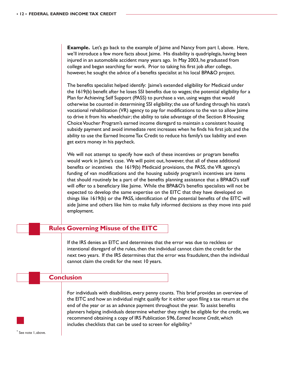**Example.** Let's go back to the example of Jaime and Nancy from part I, above. Here, we'll introduce a few more facts about Jaime. His disability is quadriplegia, having been injured in an automobile accident many years ago. In May 2003, he graduated from college and began searching for work. Prior to taking his first job after college, however, he sought the advice of a benefits specialist at his local BPA&O project.

The benefits specialist helped identify: Jaime's extended eligibility for Medicaid under the 1619(b) benefit after he loses SSI benefits due to wages; the potential eligibility for a Plan for Achieving Self Support (PASS) to purchase a van, using wages that would otherwise be counted in determining SSI eligibility; the use of funding through his state's vocational rehabilitation (VR) agency to pay for modifications to the van to allow Jaime to drive it from his wheelchair; the ability to take advantage of the Section 8 Housing Choice Voucher Program's earned income disregard to maintain a consistent housing subsidy payment and avoid immediate rent increases when he finds his first job; and the ability to use the Earned Income Tax Credit to reduce his family's tax liability and even get extra money in his paycheck.

We will not attempt to specify how each of these incentives or program benefits would work in Jaime's case. We will point out, however, that all of these additional benefits or incentives the 1619(b) Medicaid provisions, the PASS, the VR agency's funding of van modifications and the housing subsidy program's incentives are items that should routinely be a part of the benefits planning assistance that a BPA&O's staff will offer to a beneficiary like Jaime. While the BPA&O's benefits specialists will not be expected to develop the same expertise on the EITC that they have developed on things like 1619(b) or the PASS, identification of the potential benefits of the EITC will aide Jaime and others like him to make fully informed decisions as they move into paid employment.

# **Rules Governing Misuse of the EITC**

If the IRS denies an EITC and determines that the error was due to reckless or intentional disregard of the rules, then the individual cannot claim the credit for the next two years. If the IRS determines that the error was fraudulent, then the individual cannot claim the credit for the next 10 years.

#### **Conclusion**

For individuals with disabilities, every penny counts. This brief provides an overview of the EITC and how an individual might qualify for it either upon filing a tax return at the end of the year or as an advance payment throughout the year. To assist benefits planners helping individuals determine whether they might be eligible for the credit, we recommend obtaining a copy of IRS Publication 596, *Earned Income Credit*, which includes checklists that can be used to screen for eligibility.<sup>6</sup>

6 See note 1, above.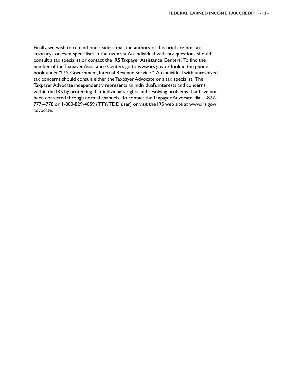Finally, we wish to remind our readers that the authors of this brief are not tax attorneys or even specialists in the tax area. An individual with tax questions should consult a tax specialist or contact the IRS Taxpayer Assistance Centers. To find the number of the Taxpayer Assistance Centers go to www.irs.gov or look in the phone book under "U.S. Government, Internal Revenue Service." An individual with unresolved tax concerns should consult either the Taxpayer Advocate or a tax specialist. The Taxpayer Advocate independently represents an individual's interests and concerns within the IRS by protecting that individual's rights and resolving problems that have not been corrected through normal channels. To contact the Taxpayer Advocate, dial 1-877- 777-4778 or 1-800-829-4059 (TTY/TDD user) or visit the IRS web site at www.irs.gov/ advocate.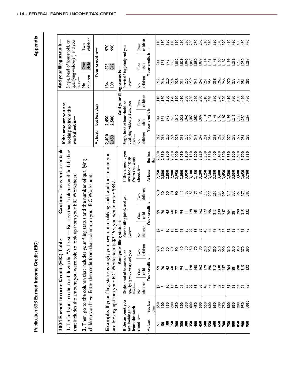| Í<br>j |
|--------|
| l<br>Ξ |
| š<br>i |

| Publication 596 Earned Income Credit (EIC)                                                                                                 |               |                                                               |                       |                                    |                                                                              |                                   |                                                       |                         |                           |                                                               |                                  |                           |                                                               | Appendix                    |
|--------------------------------------------------------------------------------------------------------------------------------------------|---------------|---------------------------------------------------------------|-----------------------|------------------------------------|------------------------------------------------------------------------------|-----------------------------------|-------------------------------------------------------|-------------------------|---------------------------|---------------------------------------------------------------|----------------------------------|---------------------------|---------------------------------------------------------------|-----------------------------|
|                                                                                                                                            |               |                                                               |                       |                                    |                                                                              |                                   |                                                       |                         |                           |                                                               |                                  |                           |                                                               |                             |
| 2004 Earned Income Credit (EIC) Table                                                                                                      |               |                                                               |                       |                                    |                                                                              | Caution. This is not a tax table. |                                                       |                         |                           | If the amount you are                                         |                                  |                           | And your filing status is-                                    |                             |
| I. To find your credit, read down the "At I<br>that includes the amount you were told to                                                   |               |                                                               |                       | east.                              | But less than" columns and find the line<br>look up from your EIC Worksheet. |                                   |                                                       |                         | worksheet is-             | looking up from the                                           |                                  | have-                     | qualifying widow(er) and you<br>Single, head of household, or |                             |
| $2.$ Then, go to the column that includes your filing status and the number of qualifying<br>children you have. Enter the credit from that |               |                                                               |                       |                                    | at column on your EIC Worksheet.                                             |                                   |                                                       |                         |                           |                                                               |                                  | children<br>$\frac{1}{2}$ | One<br>child                                                  | children<br>$Tw$ o          |
|                                                                                                                                            |               |                                                               |                       |                                    |                                                                              |                                   |                                                       |                         | At least                  | But less than                                                 |                                  |                           | Your credit is                                                |                             |
| are looking up from your EIC Worksheet is \$2,455, you would enter \$842.<br>Example. If your filing status is single, you                 |               |                                                               |                       |                                    | have one qualifying child, and the amount you                                |                                   |                                                       |                         | 2,450<br>2,450            | 2,450<br>2,500                                                |                                  | $rac{8}{2}$               | 825                                                           | 970<br>990                  |
|                                                                                                                                            |               |                                                               | And your              | iling status is-                   |                                                                              |                                   |                                                       |                         |                           |                                                               | And your filing status is-       |                           |                                                               |                             |
| If the amount you<br>from the work-<br>are looking up                                                                                      | have-         | qualifying widow(er) and you<br>Single, head of household, or |                       | have-                              | Married filing jointly and you                                               |                                   | If the amount you<br>from the work-<br>are looking up |                         | have-                     | Single, head of household, or<br>qualifying widow(er) and you |                                  | $have-$                   | Married filing jointly and you                                |                             |
| sheet is                                                                                                                                   | $\frac{1}{2}$ | One<br>child<br>children                                      | children<br>Two       | children<br>$\frac{1}{2}$          | $\overline{O}$<br>$\frac{1}{6}$                                              | Two<br>children                   | sheet is-                                             |                         | children<br>$\frac{1}{2}$ | $rac{e}{\sqrt{1}}$                                            | children<br>Two                  | children<br>$\frac{9}{2}$ | $\overline{O}$<br>$\frac{1}{6}$                               | children<br>Two             |
| But less<br>At least                                                                                                                       |               | Your credit                                                   | <u>ٺ</u> .            |                                    | Your credit is                                                               |                                   | At least                                              | But less                |                           | Your credit is-                                               |                                  |                           | Your credit is-                                               |                             |
| than                                                                                                                                       |               |                                                               |                       |                                    |                                                                              |                                   |                                                       | than                    |                           |                                                               |                                  |                           |                                                               |                             |
| ន្ធ<br><u>ឝ ន</u>                                                                                                                          |               |                                                               | $\frac{0}{2}$         |                                    |                                                                              |                                   | 2,750<br>2,800                                        |                         |                           | 44                                                            |                                  |                           | 944                                                           | $\frac{1}{2}$               |
| 50<br>$\tilde{e}$<br>$\frac{8}{1}$                                                                                                         |               | <b>32327</b><br>$\mathrel{\underline{\circ}}$<br>∾            | SO,<br>30             | $\circ$ $\simeq$ $\simeq$ $\simeq$ | <b>33357</b>                                                                 |                                   |                                                       | 2,800<br>2,850<br>2,900 | 218<br>218                | 978<br>$\overline{56}$                                        | 1,130                            | 216<br>216<br>220         | 978<br>$\overline{56}$                                        | 1,150<br>$\frac{50}{1}$     |
| 200                                                                                                                                        |               | $\cong$ $\simeq$                                              | $\overline{2}$        |                                    |                                                                              |                                   | 2,850<br>2,900                                        | 2,950                   |                           | 995                                                           | 1,170                            |                           | 995                                                           | 1.70                        |
| 250<br>$\frac{150}{200}$                                                                                                                   |               |                                                               | $\infty$              |                                    |                                                                              |                                   | 2,950                                                 | 3,000                   | 224<br>228                | 012                                                           | $\frac{36}{11}$                  | 224<br>228                | ,012                                                          | 90                          |
| 300                                                                                                                                        |               |                                                               | $\stackrel{\circ}{=}$ |                                    |                                                                              |                                   | 3,000                                                 | 3,050                   |                           | 620'                                                          | 210                              |                           | 029                                                           |                             |
| 350<br>$rac{1}{2}$<br><b>35888</b>                                                                                                         |               | $x = 8255$<br>12233                                           | $\frac{50}{25}$       | 22233                              | $\approx \equiv \frac{50}{2}$                                                | 28888                             | 3,050                                                 | 3,100<br>3,150          | <b>238247</b><br>238247   | ,046<br>,063                                                  |                                  | 222377                    | ,046<br>063                                                   | <u>1986</u><br>2007<br>2011 |
| 450                                                                                                                                        |               |                                                               | $\overline{170}$      |                                    | 145                                                                          |                                   | 3,150<br>3,150<br>3,200                               | 3,200                   |                           | 1,080                                                         |                                  |                           | 1,080                                                         | ,270                        |
| ន្ល                                                                                                                                        |               |                                                               | $\frac{8}{2}$         |                                    | 162                                                                          |                                   |                                                       | 3,250                   |                           |                                                               |                                  |                           |                                                               | 50 <sup>o</sup>             |
| <b>SSO</b>                                                                                                                                 |               | $\overline{ }$                                                | 210                   | OÞ.                                | $\frac{96}{6}$                                                               | $\frac{2}{2}$                     | 00E'E<br>0SZ'E                                        | 3,300                   |                           | $\frac{14}{1.131}$                                            |                                  |                           | $\frac{1}{1}$ .<br>31                                         | 0EE'I<br>01E'I              |
| 650<br>0S9<br>00S<br>00S                                                                                                                   |               | $\frac{4}{5}$                                                 | 230<br>250            | $\frac{4}{3}$                      | 213                                                                          |                                   | 3,350                                                 | 3,350<br>3,400          | 558838                    | 1,148                                                         | 06 17<br>06 17 17 19<br>01 17 10 | 154<br>154<br>264<br>264  | 1,148                                                         |                             |
| 700                                                                                                                                        |               | 213<br>230<br>247                                             | 270                   |                                    | 230                                                                          | 250<br>270                        |                                                       | 3,450                   |                           | 1,165                                                         |                                  |                           | 1,165                                                         | 3580                        |
| 750<br>$\overline{20}$                                                                                                                     |               |                                                               | 290                   |                                    | 247                                                                          | 290                               | 3,450<br>3,450                                        | 3,500                   |                           | ,182                                                          |                                  |                           | $\frac{82}{ }$                                                |                             |
| 800<br>$rac{1}{250}$                                                                                                                       |               | $\frac{264}{281}$<br>9255                                     | 310                   | 92552                              | 264                                                                          | 310<br>330                        | 3,500                                                 | 3,550                   | 273                       | 661'                                                          | 410                              | 273                       | 661'                                                          | 014,                        |
| 850                                                                                                                                        |               | 298                                                           | 330                   | $\overline{6}$                     | 281                                                                          | 350                               | 3,550                                                 | 3,600                   |                           | 216                                                           | ,430                             | 277                       | 216                                                           | ,430                        |
| 950<br>900<br>850                                                                                                                          |               | 2                                                             | 350                   |                                    | 298                                                                          |                                   | 3,600                                                 | 3,650<br>3,700          | 277                       | ,233                                                          | ,450                             |                           | 1,233                                                         | ,450                        |
| 000<br><b>950</b>                                                                                                                          |               | $\frac{15}{32}$                                               | 370<br>390            | $\overline{5}$                     | $315$<br>$332$                                                               | 370<br>390                        | 3,650<br>3,700                                        | 3,750                   | $\overline{28}$           | $1,250$<br>$-267$                                             | 64.40                            | <b>285</b>                | 1,250                                                         | $\frac{4}{25}$              |

Appendix

 $\sqrt{ }$ Τ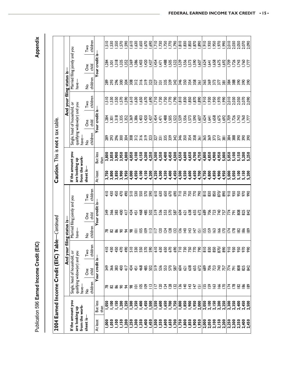|                                     |                         | 2004 Earned Income Credit (EIC) Tab                                                                                                         |                                                               |                          | $\rm e$ —Continued                                                                                              |                                |                                           |                                     | Caution. This is not a tax table. |                   |                                                               |                           |                       |                                |                                           |  |
|-------------------------------------|-------------------------|---------------------------------------------------------------------------------------------------------------------------------------------|---------------------------------------------------------------|--------------------------|-----------------------------------------------------------------------------------------------------------------|--------------------------------|-------------------------------------------|-------------------------------------|-----------------------------------|-------------------|---------------------------------------------------------------|---------------------------|-----------------------|--------------------------------|-------------------------------------------|--|
|                                     |                         |                                                                                                                                             |                                                               | And your fi              | ing status is-                                                                                                  |                                |                                           |                                     |                                   |                   |                                                               | And your filing status is |                       |                                |                                           |  |
| If the amount you<br>are looking up |                         |                                                                                                                                             | qualifying widow(er) and you<br>Single, head of household, or |                          | have-                                                                                                           | Married filing jointly and you |                                           | If the amount you<br>are looking up |                                   |                   | qualifying widow(er) and you<br>Single, head of household, or |                           | have-                 | Married filing jointly and you |                                           |  |
| from the work                       |                         | have-                                                                                                                                       |                                                               |                          |                                                                                                                 |                                |                                           | from the work-                      |                                   | have-             |                                                               |                           |                       |                                |                                           |  |
| sheet is-                           |                         | $\frac{9}{2}$                                                                                                                               | Öne                                                           | Two                      | $\frac{1}{2}$                                                                                                   | oe<br>ci                       | Two<br>children                           | sheet is-                           |                                   | $\frac{1}{2}$     | <b>One</b>                                                    | Two                       | $\frac{9}{2}$         | δ <sup>e</sup>                 | Two                                       |  |
|                                     |                         | children                                                                                                                                    | <b>Slid</b>                                                   | children                 | children                                                                                                        |                                |                                           |                                     |                                   | children          | child                                                         | children                  | children              | Plik                           | children                                  |  |
| At least                            | But less                |                                                                                                                                             | Your credit is-                                               |                          |                                                                                                                 | our credit is-                 |                                           | At least                            | But less                          |                   | Your credit is-                                               |                           |                       | Your credit is                 |                                           |  |
|                                     | than                    |                                                                                                                                             |                                                               |                          |                                                                                                                 |                                |                                           |                                     | than                              |                   |                                                               |                           |                       |                                |                                           |  |
| 000                                 | ,050                    |                                                                                                                                             | 349                                                           |                          |                                                                                                                 | 349                            |                                           | 3,750                               | 3,800                             | 289               | 284                                                           | $\frac{8}{2}$             | 289                   | .84                            | $\frac{6}{2}$                             |  |
| 050                                 | $rac{1}{2}$ $rac{1}{2}$ |                                                                                                                                             | 366                                                           | 30                       |                                                                                                                 | 366                            | $\frac{6}{3}$                             | 3,800                               | 3,850                             | 293               | $rac{1}{25}$                                                  | <u>ភ្លឹ ភ្ល</u> ឹ         | 293                   | $rac{3}{20}$                   | 550                                       |  |
| 100                                 |                         |                                                                                                                                             |                                                               | 450                      |                                                                                                                 |                                | 450                                       | 3,850                               | 3,900                             | 296               |                                                               |                           | 296                   |                                |                                           |  |
| 1,150                               | 200                     | <b>RESERT</b>                                                                                                                               | $rac{1}{2}$                                                   | 470                      | <b>RESSS3</b>                                                                                                   | $rac{6}{5}$                    | 470                                       | 3,900                               | 3,950                             | $\frac{8}{3}$     | 335                                                           | 570                       | $\frac{8}{3}$         | 335                            | 570                                       |  |
| ,200                                | ,250                    |                                                                                                                                             | $\frac{1}{4}$                                                 | $\frac{8}{3}$            |                                                                                                                 | 417                            | $\frac{8}{3}$                             | 3,950                               | 4,000                             |                   | 352                                                           | <b>S</b>                  |                       | 352                            | Sğ                                        |  |
| .250                                | <b>POS</b>              | $\frac{8}{2}$                                                                                                                               | $\frac{4}{3}$                                                 |                          |                                                                                                                 | 434<br>451                     |                                           | 4,000                               | 4,050                             | 308               | ,369                                                          | $\frac{1}{2}$             | $\frac{8}{2}$         | ,369                           | $rac{1}{2}$                               |  |
| 1,350                               | ,350                    |                                                                                                                                             | $\overline{45}$                                               | ្ត្រី និន្ត              | $g \subseteq g$                                                                                                 |                                | ្ត្រី និន                                 | 4,050                               | 4,100                             | $\frac{218}{219}$ | 386                                                           | 63 <sub>o</sub>           | $\frac{218}{219}$     | 386                            | <b>650</b><br>0650                        |  |
|                                     | $rac{6}{400}$           | 105                                                                                                                                         | 468                                                           |                          |                                                                                                                 | 468                            |                                           | 1,100                               | 4,150                             |                   | 403                                                           | 650                       |                       | 403                            |                                           |  |
| <b>400</b>                          | ,450                    | $\tilde{e}$                                                                                                                                 | 485                                                           | 570                      | $\frac{8}{2}$                                                                                                   | $\frac{45}{20}$                | 570                                       | 4,150                               | 4,200                             |                   | 420                                                           | 670                       |                       | 420                            | 029'                                      |  |
| ,450                                | 500                     | $\tilde{=}$                                                                                                                                 | 502                                                           | 590                      | $\tilde{=}$                                                                                                     |                                | 590                                       | 4,200                               | 4.250                             | 323               | 437                                                           | 690                       | 323                   | 437                            | 690                                       |  |
| 00<br>0515<br>001                   | oss'                    | $\Xi$                                                                                                                                       | 5355                                                          | $-3888$                  | Ξ                                                                                                               | <b>22525</b><br>2255           | $\frac{1}{6}$                             | 4,250                               | 4,300                             | 327<br>335<br>339 | $-454$                                                        | 012'                      | $\frac{27}{331}$      | 순 년                            | 012                                       |  |
|                                     |                         |                                                                                                                                             |                                                               |                          |                                                                                                                 |                                | 630                                       | 4,350                               | 4,350                             |                   |                                                               |                           |                       |                                |                                           |  |
|                                     |                         |                                                                                                                                             |                                                               |                          |                                                                                                                 |                                | 650                                       |                                     | 4,400                             |                   | ,488                                                          | $\frac{1,750}{50}$        | 339                   | ,488                           |                                           |  |
| ,650                                | 2500                    |                                                                                                                                             |                                                               |                          | 2482                                                                                                            |                                | 670                                       | 4,400                               | 4,450                             |                   |                                                               | ,770                      |                       | 505                            | 885.71                                    |  |
| ,700                                | ,750                    | 222222                                                                                                                                      | 587                                                           | 887888                   |                                                                                                                 | 587                            | 690                                       | 4,450                               | 4,500                             | 342               | <u>្កុំ ប្អ</u>                                               | 562'                      | 342                   | <u>ដ្ឋាង ឆ្នំ ដូ ន</u>         | 50 <sup>2</sup>                           |  |
| 1,750                               | <b>800</b>              |                                                                                                                                             | \$                                                            |                          |                                                                                                                 |                                |                                           |                                     | 4,550                             |                   |                                                               |                           |                       |                                |                                           |  |
| 00810                               | ,850                    |                                                                                                                                             | 621                                                           |                          | $rac{8}{40}$                                                                                                    | 24.38                          | <b>8222</b><br>8222                       | 4,500<br>4,550                      | 4,600                             | *****             | 065<br>955<br>655                                             | ត្ត ខ្ល                   | ****                  |                                |                                           |  |
|                                     | .900                    |                                                                                                                                             | 355                                                           |                          | $\frac{43}{5}$                                                                                                  |                                |                                           | 4,600                               | 4,650                             |                   |                                                               | ,850                      |                       |                                |                                           |  |
|                                     | 1,950                   |                                                                                                                                             |                                                               |                          |                                                                                                                 | 655<br>672                     |                                           | 4,650                               | 4,700                             |                   |                                                               | ,870                      |                       |                                | ,870                                      |  |
| 1,950                               | 2,000                   | $\frac{5}{4}$ $\frac{1}{2}$ $\frac{1}{2}$ $\frac{1}{2}$ $\frac{1}{2}$ $\frac{1}{2}$ $\frac{1}{2}$ $\frac{1}{2}$ $\frac{1}{2}$ $\frac{1}{2}$ |                                                               |                          | $\frac{1}{2}$ $\frac{1}{2}$ $\frac{1}{2}$ $\frac{1}{2}$ $\frac{1}{2}$ $\frac{1}{2}$ $\frac{1}{2}$ $\frac{1}{2}$ |                                | 780                                       | 4,700                               | 4,750                             |                   | 509                                                           | ,890                      | રૂ                    | 607                            | 890                                       |  |
| 2,000                               | 2,050                   |                                                                                                                                             |                                                               | <b>OSS</b><br>OCS<br>OIS |                                                                                                                 |                                | $\frac{8}{8}$ $\frac{8}{8}$ $\frac{8}{8}$ | 4,750                               | 4,800                             | 365               | 624                                                           | 016'                      |                       | 624                            | 016'                                      |  |
| 2,050                               |                         |                                                                                                                                             |                                                               |                          |                                                                                                                 |                                |                                           |                                     | 4,850                             | 369               | $\tilde{A}$                                                   | 930                       |                       | $\dot{4}$                      | 930                                       |  |
| 2,100                               | 2,150<br>2,150<br>2,200 |                                                                                                                                             | <b>88277</b>                                                  |                          |                                                                                                                 |                                |                                           | $4,800$<br>$4,850$<br>$4,900$       | 4,900                             | 373               |                                                               | 950                       | 225<br>69<br>99<br>99 | 575                            | 950                                       |  |
| 2,150                               |                         |                                                                                                                                             |                                                               | 870                      | $rac{66}{20}$                                                                                                   |                                | $\overline{870}$                          |                                     | 4,950                             |                   |                                                               | 65                        |                       |                                | $06^{6}$                                  |  |
| 2,200                               | 2,250                   |                                                                                                                                             | 757                                                           | 890                      |                                                                                                                 | <b>2006 2016</b><br>2017 2028  | 890                                       | 4,950                               | 5,000                             | $\overline{38}$   | 35.28                                                         | 666'                      | జ్                    | 38.77.75                       | 990                                       |  |
| 2,250                               | 2,300<br>2,350          | 78888                                                                                                                                       | 758832                                                        | 016                      | 78288                                                                                                           |                                | 016                                       | 5,000                               | 5,050                             | 388<br>388        |                                                               | 2,010                     | 384<br>388            |                                | 2,030<br>2,030<br>2,050<br>2,090<br>2,090 |  |
| 2,300                               |                         |                                                                                                                                             |                                                               | 950<br>950               |                                                                                                                 |                                |                                           |                                     | 5,100                             |                   |                                                               | 2,030<br>2,050            |                       |                                |                                           |  |
| 2,350                               | 2,400                   |                                                                                                                                             |                                                               |                          |                                                                                                                 | 78833                          | 88888                                     | 5,050<br>5,150<br>5,200             | 5, I 50                           | 390               | <b><i><i><b>REE</b></i></i></b>                               |                           | 390                   |                                |                                           |  |
| 2,450<br>2,450                      | 2,450                   |                                                                                                                                             |                                                               | 288                      |                                                                                                                 |                                |                                           |                                     | 5,200<br>5,250                    | 380               |                                                               | 2,070<br>2,090            | 380                   |                                |                                           |  |
|                                     | 2.500                   |                                                                                                                                             |                                                               |                          |                                                                                                                 |                                |                                           |                                     |                                   |                   |                                                               |                           |                       |                                |                                           |  |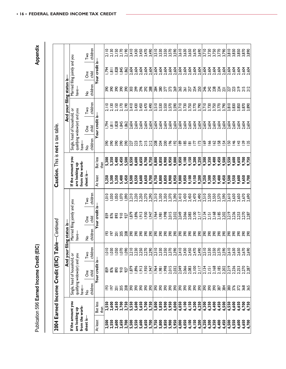| ٦ |
|---|
|   |
|   |
|   |
|   |
|   |
|   |

Publication 596 Earned Income Credit (EIC)

Publication 596 **Earned Income Credit (EIC)**<br>2004 Earned Income Credit (EIC) Table—*Continued* Caution. This is not a tax table.<br>2004 Earned Income Credit (EIC) Table—*Continued* Caution. This is not a tax table. children  $3,450$ <br>  $3,450$ <br>  $0.01$ <br>  $0.01$ <br>  $0.01$ 0<br>0 0 2 3 3 3 4<br>0 3 3 5 7 0<br>3 3 3 5 9 0  $\frac{10}{3}$  $\frac{8}{3}$  $\frac{8}{3}$  $\frac{8}{3}$  $\frac{8}{3}$  $\frac{8}{3}$  $\frac{8}{3}$  $\frac{8}{3}$  $\frac{8}{3}$ **2,500 2,550** 193 859 1,010 193 859 1,010 **5,250 5,300** 390 1,794 2,110 390 1,794 2,110 2,500 1,130 1,130 1,130 1,130 1,130 1,130 1,130 1,130 1,130 1,130 1,130 1,130 1,130 1,130 1,130 1,130 1,130 1,<br>Proton 1,130 1,130 1,130 1,130 1,130 1,130 1,130 1,130 1,130 1,130 1,130 1,130 1,130 1,130 1,130 1,130 1,130 1 2,600 2,400 1,828 1,050 2,400 1,050 1,050 1,050 1,050 1,050 1,050 1,050 1,050 1,050 1,050 1,050 1,050 1,050 1,0<br>Protocology and all south and a south and a south a south a south a south a south a south a south a south a so **2,650 2,700** 205 910 1,070 205 910 1,070 **5,400 5,450** 390 1,845 2,170 390 1,845 2,170 2,700 2,700 900 2,700 1,090 2,190 1,090 1,090 1,090 2,190 1,090 1,090 1,090 1,090 1,090 1,190 1,190 1,190 1,190 **5,500 5,550** 390 1,879 2,210 390 1,879 2,210 **8,500 8,550** 227 2,604 3,410 303 2,604 3,410 **5,550 5,600** 390 1,896 2,230 390 1,896 2,230 **8,550 8,600** 223 2,604 3,430 299 2,604 3,430 **5,600 5,650** 390 1,913 2,250 390 1,913 2,250 **8,600 8,650** 219 2,604 3,450 296 2,604 3,450 **5,650 5,700** 390 1,930 2,270 390 1,930 2,270 **8,650 8,700** 215 2,604 3,470 292 2,604 3,470 **5,700 5,750** 390 1,947 2,290 390 1,947 2,290 **8,700 8,750** 212 2,604 3,490 288 2,604 3,490 **5,750 5,800** 390 1,964 2,310 390 1,964 2,310 **8,750 8,800** 208 2,604 3,510 284 2,604 3,510 **5,800 5,850** 390 1,981 2,330 390 1,981 2,330 **8,800 8,850** 204 2,604 3,530 280 2,604 3,530 **5,850 5,900** 390 1,998 2,350 390 1,998 2,350 **8,850 8,900** 200 2,604 3,550 277 2,604 3,550 **5,900 5,950** 390 2,015 2,370 390 2,015 2,370 **8,900 8,950** 196 2,604 3,570 273 2,604 3,570 **5,950 6,000** 390 2,032 2,390 390 2,032 2,390 **8,950 9,000** 192 2,604 3,590 269 2,604 3,590 6,000 2,504 2,404 2,404 2,42 2,42 2,420 2,441 2,420 2,440 2,440 2,440 2,440 2,450 2,440 2,504 3,404 3,404 3,404 **6,050 6,100** 390 2,066 2,430 390 2,066 2,430 **9,050 9,100** 185 2,604 3,730 261 2,604 3,630 **6,100 6,150** 390 2,083 2,450 390 2,083 2,450 **9,100 9,150** 181 2,604 3,750 257 2,604 3,650 **6,150 6,200** 390 2,100 2,470 390 2,100 2,470 **9,150 9,200** 177 2,604 3,770 254 2,604 3,670 **6,200 6,250** 390 2,117 2,490 390 2,117 2,490 **9,200 9,250** 173 2,604 3,790 250 2,604 3,690 **6,250 6,300** 390 2,134 2,510 390 2,134 2,510 **9,250 9,300** 169 2,604 3,710 246 2,604 3,710 **6,300 6,350** 390 2,151 2,530 390 2,151 2,530 **9,300 9,350** 166 2,604 3,730 242 2,604 3,730 **6,350 6,400** 390 2,168 2,550 390 2,168 2,550 **9,350 9,400** 162 2,604 3,750 238 2,604 3,750 **6,400 6,450** 387 2,185 2,570 390 2,185 2,570 **9,400 9,450** 158 2,604 3,770 234 2,604 3,770 **6,450 6,500** 384 2,202 2,590 390 2,202 2,590 **9,450 9,500** 154 2,604 3,790 231 2,604 3,790 **6,500 6,550** 380 2,219 2,610 390 2,219 2,610 **9,500 9,550** 150 2,604 3,810 227 2,604 3,810 **6,550 6,600** 376 2,236 2,630 390 2,236 2,630 **9,550 9,600** 146 2,604 3,830 223 2,604 3,830 **6,600 6,650** 372 2,253 2,650 390 2,253 2,650 **9,600 9,650** 143 2,604 3,850 219 2,604 3,850 **6,650 6,700** 368 2,270 2,670 390 2,270 2,670 **9,650 9,700** 139 2,604 3,870 215 2,604 3,870 **6,700 6,750** 365 2,287 2,690 390 2,287 2,690 **9,700 9,750** 135 2,604 3,890 212 2,604 3,890 Two Married filing jointly and you Married filing jointly and you Your credit is**ʊ Your credit is**  $1,81$ <br> $1,81$ <br> $1,82$ <br> $1,82$ <br> $1,82$ <br> $1,82$ 2,604 2.604<br>2.604<br>2.604<br>2.604 នី<br>កូមី And your filing status is**ʊ And your filing status is** No children have ន្តន្តន្តន្ត <u>ន្តន្តន្តន</u>  $85578877777$  $\overline{233} \overline{25} \overline{25}$ Two children 3,510<br>3,530<br>3,550<br>3,590  $410$ <br> $430$ <br> $450$ <br> $450$ <br> $450$ <br> $450$ <br> $490$ Single, head of household, or Single, head of household, or qualifying widow(er) and you qualifying widow(er) and you Your credit is-**Your credit is** 2,604<br>2,604<br>2,604<br>2,604  $\frac{1}{2}$   $\frac{1}{2}$   $\frac{1}{2}$   $\frac{1}{2}$   $\frac{1}{2}$   $\frac{1}{2}$   $\frac{1}{2}$   $\frac{1}{2}$   $\frac{1}{2}$   $\frac{1}{2}$ 2,604<br>2,604<br>2,604<br>2,604 1923<br>1924<br>1925<br>1925 *Continued* **Caution.** This is **not** a tax table. Caution. This is not a tax table. នី<br>កំ children ន្តន្តន្តន 2232522 83882 <u>หารายละละส</u><br>สม  $54725$ have  $\frac{1}{2}$  $\frac{1}{\sqrt{1-\frac{1}{2}}}$ **If the amount you**  If the amount you At least But less 8,650<br>8,700 8,750 850<br>8,900<br>8,950<br>9,000 **DES**<br>
9.150<br>
9.150  $9,250$ <br> $9,350$ <br> $9,350$ <br> $9,350$ <br> $9,400$ 9,450<br>9,500 But less **1920**<br>1920<br>1920<br>1920<br>1920 8,550<br>8,600 8,800 9,550<br>9,600<br>9,700<br>9,750<br>9,750 are looking up from the work**from the work**than **are looking up sheet is** 5,250<br>5,300<br>5,450<br>5,450<br>5,450 0SS'8<br>00S'8 8,600 8,650 8,700 8,750<br>8,885<br>8,950<br>8,950 002<br>051166<br>05066<br>0006 00<br>059966<br>059966 At least Two children 2,210<br>2,230<br>2,250<br>2,290<br>2,290 2330<br>2330<br>2350<br>2390 2,610<br>2,630<br>2,650<br>2,690 060'<br>050'<br>050'<br>010' Married filing jointly and you Married filing jointly and you Your credit is**ʊ Your credit is** 1,964<br>1,981<br>1,998<br>2,032<br>2,032  $1,913$ 2,049 2,066<br>2,083<br>2,100  $1,947$ 22<br>228<br>228<br>238 968' ge na<br>6 품 2004 Earned Income Credit (EIC) Table—Continued And your filing status is-**And your filing status is** No children  $888888$ have **ʊ**Two children 2,210<br>2,230<br>2,250<br>2,290 2,310<br>2,330<br>2,350<br>2,390<br>2,390 2,410 2,610<br>2,630<br>2,650<br>2,690 Single, head of household, or Single, head of household, or qualifying widow(er) and you qualifying widow(er) and you <u>ٺ</u> **Your credit is** Your credit  $\frac{8}{1,981}$ <br> $\frac{8}{1,998}$ <br> $\frac{1}{2,032}$  $5588928$ នី<br>កំ children  $85588$ 8252858 have  $\frac{9}{2}$  $\frac{1}{\sqrt{2}}$ **If the amount you**  If the amount you At least But less 2,550<br>2,600<br>2,700<br>2,750<br>2,750 5,550<br>5,600<br>5,700<br>5,750<br>5,750 6,450<br>6,500 6,550<br>6,600<br>6,500<br>6,750<br>6,750 But less from the work**from the work**than are looking up **are looking up sheet is** At least 2,500<br>2,550 2,600 2,650 2,700 5,500<br>5,550 5,600 5,650 5,700 5,750 **5,800**<br>5,8500<br>5,950<br>5,950 6,000 6,050 6,100  $6,150$  $6,200$ <br> $6,300$ <br> $6,350$ <br> $6,350$ 6,400 6,450 6,500<br>6,550<br>6,600 6,650<br>6,700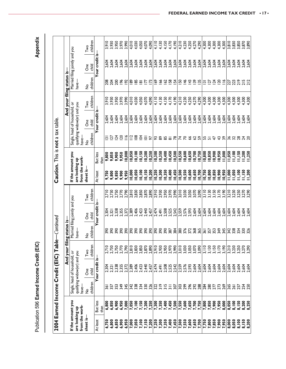|                             |                         |                        | 2004 Earned Income Credit (EIC) Tab                           |                | $\rm e$ —Continued |                                |                |                                     | Caution. This is not a tax table. |                        |                                                               |                            |                                           |                                |                         |  |
|-----------------------------|-------------------------|------------------------|---------------------------------------------------------------|----------------|--------------------|--------------------------------|----------------|-------------------------------------|-----------------------------------|------------------------|---------------------------------------------------------------|----------------------------|-------------------------------------------|--------------------------------|-------------------------|--|
|                             |                         |                        |                                                               | ⋷<br>And your  | ling status is-    |                                |                |                                     |                                   |                        |                                                               | And your filing status is- |                                           |                                |                         |  |
| are looking up              | If the amount you       |                        | qualifying widow(er) and you<br>Single, head of household, or |                | have-              | Married filing jointly and you |                | If the amount you<br>are looking up |                                   |                        | Single, head of household, or<br>qualifying widow(er) and you |                            | have-                                     | Married filing jointly and you |                         |  |
| from the work-<br>sheet is- |                         | have-<br>$\frac{9}{2}$ | Ōе<br>Опе                                                     | Two            | $\frac{1}{2}$      | $\overline{O}$                 | Two            | from the work-<br>sheet is-         |                                   | have-<br>$\frac{9}{2}$ | <b>One</b>                                                    | Two                        | $\frac{9}{2}$                             | Ō                              | Two                     |  |
|                             |                         | children               | child                                                         | children       | children           | $\frac{1}{6}$                  | children       |                                     |                                   | children               | child                                                         | children                   | children                                  | lik<br>child                   | children                |  |
| At least                    | But less                |                        | Your credit is                                                |                |                    | Your credit is                 |                | At least                            | But less                          |                        | Your credit is                                                |                            |                                           | Your credit is-                |                         |  |
|                             | than                    |                        |                                                               |                |                    |                                |                |                                     | than                              |                        |                                                               |                            |                                           |                                |                         |  |
| 6,750                       | 6,800                   | <u>হূ</u>              | 2,304                                                         | 2,710          | ଛି                 | 2,304                          | 2,710          | 9,750                               | 9,800                             | S                      | 2,604                                                         | 3,910                      | 208                                       | 2,604                          | 3,910                   |  |
| 6,800                       | 6,850                   | 55                     | 2,321                                                         | 2,730          | န္က                | 2,321                          | 2,730          | 9,800                               | 9,850                             | 228                    | 2,604                                                         | 3,930                      | $\tilde{g}$                               | 2,604<br>2,604                 | 3,930                   |  |
| 6,850                       | 6,900                   |                        | 2,338                                                         | 2,750          | 50                 | 2,338                          | 2,750          | 9,850                               | 9,900                             |                        | 2,604                                                         | 3,950                      | $\approx$                                 |                                | 3,950                   |  |
| 6,900                       | 6,950                   | 349                    | 2,355                                                         | 2,770          | 390                | 2,355                          | 2,770          | 9,900                               | 9,950                             |                        | 2,604                                                         | 3,970                      | $\frac{6}{26}$                            | 2,604                          | 3,970                   |  |
| 6,950                       | 7,000                   | 345                    | 2,372                                                         | 2,790          | 500                | 2,372                          | 2,790          | 9,950                               | 10,000                            | $\leq$                 | 2,604                                                         | 3,990                      | $\overline{5}$                            | 2,604                          | 3,990                   |  |
| 7,000                       | 7,050                   |                        | 2,389                                                         | 2,810          | $\frac{50}{25}$    | 2,389                          | 2,810          | 0,000                               | 0,050                             | $\cong$                | 2,604                                                         | 4,010                      |                                           |                                | 4,010                   |  |
| 7,050                       |                         | 342<br>338             | 2,423                                                         | 2,830          | 390                | 2,406                          | 2,830          | 0,050                               | 0,100                             | $\overline{08}$        | 2,604                                                         | 4,030                      | $rac{8}{8}$                               |                                | 4,030                   |  |
| 7,100                       | 7,100<br>7,150          | 334                    |                                                               | 2,850          | 390                | 2,423                          | 2,850          | 0,100                               | 10,150                            | $\overline{5}$         | 2,604                                                         | 4,050                      | $\overline{8}$                            |                                | 4,050                   |  |
| 7,150                       | 7,200                   | 330                    | 2,440                                                         | 2,870          | 390                | 2,440                          | 2,870          | 0,150                               | 10,200                            | $\frac{1}{2}$          | 2,604                                                         | 4,070                      | E                                         | 2,604                          | 4,070                   |  |
| 7,200                       | 7,250                   | 326                    | 2,457                                                         | 2,890          | 390                | 2,457                          | 2,890          | 0.200                               | 0,250                             |                        | 2,604                                                         | 4,090                      | $\overline{12}$                           | 2,604                          | 4,090                   |  |
| 7,250                       | 7,300                   | $329 = 12$             | 2,474                                                         | 2,910          | <b>O6E</b>         | 2,474                          | 2,910          | 0,250                               | 0,300                             | <b>38858</b>           | 2,604                                                         | 4,110                      | $\frac{69}{2}$                            | 2,604                          | 4,110                   |  |
|                             |                         |                        | 2,491                                                         | 2,930<br>2,950 | 390                | 2,491                          | 2,930<br>2,950 | 10,300<br>10,350                    | 10,350<br>10,400                  |                        | 2,604                                                         | $4,130$<br>$4,150$         |                                           | 2,604                          | $4,130$<br>$4,150$      |  |
| 7,300<br>7,350<br>7,400     | 7,350<br>7,400          |                        |                                                               |                | 390                | 2,508                          |                |                                     |                                   |                        |                                                               |                            | 8887                                      |                                |                         |  |
|                             | 7,450                   |                        | 2,525                                                         | 2,970          | 387<br>384         | 2,525                          | 2,970          | 10,400                              | 10,450                            |                        | 2,604                                                         | 4,170                      |                                           | 2,604                          | 4,170                   |  |
| 7,450                       | 7,500                   | 507                    | 2,542                                                         | 2,990          |                    | 2,542                          | 2,990          | 0,450                               | 0,500                             |                        | 2,604                                                         | 4,190                      |                                           | 2,604                          | 4,190                   |  |
| 7,500                       | 7,550                   |                        | 2,559                                                         | 3,010          | 372<br>372         | 2,559<br>2,576<br>2,593        | 3,010          | 10,500                              | 0,550                             | ドドルのと                  | 2,604                                                         | 4,210                      |                                           | 2,604                          | 4,210                   |  |
| 7,550                       |                         |                        | 2,576                                                         | 3,030          |                    |                                | 3,030          | 10,550                              | 0,600                             |                        | 2,604                                                         | 4,230<br>4,250             | $rac{6}{1}$                               |                                | 4,230<br>4,250          |  |
| 7,600                       | 7,650<br>7,650<br>7,700 | 388888                 |                                                               | 3,050          |                    |                                | 3,050          | 0,600                               | 0,650                             |                        |                                                               |                            | $\frac{4}{3}$                             | 2.604<br>2.604<br>2.604        |                         |  |
| 7,650                       |                         |                        | 2,604                                                         | 3,070          | 368                | 2,604                          | 3,070          | 0,650                               | 10,700                            |                        | 2,604                                                         | 4,270                      | $\frac{25}{25}$                           |                                | 4,270                   |  |
| 7,700                       | 7,750                   |                        | 2,604                                                         | 3,090          | 365                | 2,604                          | 3,090          | 0,700                               | 0,750                             |                        | 2,604                                                         | 4,290                      |                                           | 2,604                          | 4,290                   |  |
| 7,750                       | 7,800                   | 품용 H H 원               | 2,604                                                         | 3,110          | 357<br>357         | 2,604                          | 3,110          | 10,750                              | 0,800                             | 557                    | 2,604                                                         | 4,300                      | $\frac{1}{2}$ $\frac{1}{2}$ $\frac{1}{2}$ | 2,604                          | 4,300                   |  |
| 7,800                       |                         |                        | 2,604                                                         | 3, 130         |                    | 2,604                          | 3,130          |                                     | 0,850                             |                        | 2,604                                                         | 4,300                      |                                           |                                | 4,300                   |  |
| 7,850<br>7,900              | 7,850<br>7,900<br>7,950 |                        | 2,604                                                         |                |                    | 2,604                          | 3,150          | $\frac{10,800}{10,850}$             | $\frac{10,900}{10,950}$           |                        | 2,604                                                         | 4,300                      |                                           | 2,604<br>2,604                 | 4,300                   |  |
|                             |                         |                        | 2,604                                                         | 3,170          | 349                | 2,604                          | 3,170          | 10,900                              |                                   | 725                    | 2,604                                                         | 4,300                      | 120                                       | 2,604                          | 4,300                   |  |
| 7,950                       | 8,000                   |                        | 2,604                                                         | 3,190          | 345                | 2,604                          | 3.190          | 0.950                               | 1,000                             |                        | 2,604                                                         | 4,300                      | $\leq$                                    | 2,604                          | 4,300                   |  |
| 8,000                       | 8,050                   | 265                    | 2,604                                                         | 3,210          | 342<br>338         | 2,604                          | 3,210          | $\frac{1}{2}$                       | 1,050                             | 88838                  | 2,604                                                         | 4,300                      | 27                                        | 2,604                          | 3,810                   |  |
| 8,050                       | 8,100                   | 261                    | 2,604                                                         | 3,230          |                    | 2,604                          | 3,230          | 11,050                              | 1,100                             |                        | 2,604                                                         | 4,300                      | 223                                       | 2,604                          |                         |  |
| 8,100                       | 8,150<br>8,200<br>8,250 | 257                    | 2,604                                                         | 3,250          | 334                | 2,604                          | 3,250          | 001, 1                              | 1,150                             |                        | 2.924<br>2.924<br>2.924                                       | 4,300                      | 219                                       | 2.924<br>2.924<br>2.924        | 3,830<br>3,850<br>3,870 |  |
| 8,150                       |                         | $\frac{5}{25}$         | 2,604<br>2,604                                                | 3,270<br>3,290 | 336                | 2,604                          | 3,270          | 1,150                               | <b>1,250</b><br>0071              |                        |                                                               | $4,300$<br>$4,300$         | $\frac{215}{212}$                         |                                |                         |  |
| 8,200                       |                         |                        |                                                               |                |                    | 2,604                          | 3,290          | $\overline{200}$                    |                                   |                        |                                                               |                            |                                           |                                | 3,890                   |  |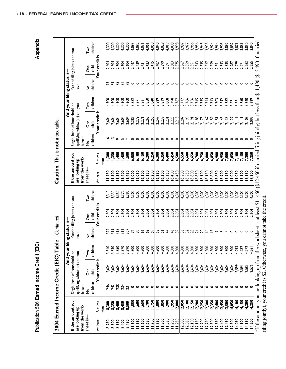Publication 596 Earned Income Credit (EIC)

| 2004                            | Earned Income                                                                                                                                              |                                 | Credit (EIC)                      | Tabl                                   | le-Continued              |                                |                 |                                  | Caution. This is not a tax table. |                           |                               |                 |                            |                                |                 |
|---------------------------------|------------------------------------------------------------------------------------------------------------------------------------------------------------|---------------------------------|-----------------------------------|----------------------------------------|---------------------------|--------------------------------|-----------------|----------------------------------|-----------------------------------|---------------------------|-------------------------------|-----------------|----------------------------|--------------------------------|-----------------|
|                                 |                                                                                                                                                            |                                 |                                   | And your fi                            | ling status is-           |                                |                 |                                  |                                   |                           |                               |                 | And your filing status is- |                                |                 |
|                                 | If the amount you                                                                                                                                          |                                 | Single, head of household,        | ō                                      |                           | Married filing jointly and you |                 |                                  | If the amount you                 |                           | Single, head of household, or |                 |                            | Married filing jointly and you |                 |
| from the work<br>are looking up |                                                                                                                                                            | have-                           | qualifying widow(er) and you      |                                        | $have-$                   |                                |                 | from the work-<br>are looking up |                                   | have-                     | qualifying widow(er) and you  |                 | have-                      |                                |                 |
| sheet is-                       |                                                                                                                                                            | children<br>$\frac{1}{2}$       | $\frac{12}{5}$<br>O <sub>ne</sub> | children<br>Two                        | children<br>$\frac{9}{2}$ | е<br>Об<br>$\frac{1}{6}$       | children<br>Two | sheet is-                        |                                   | children<br>$\frac{1}{2}$ | ð<br>$\frac{12}{5}$           | children<br>Two | children<br>$\epsilon$     | child<br>Öne                   | children<br>Two |
| At least                        | But less                                                                                                                                                   |                                 | Your credit is                    |                                        |                           | Your credit is-                |                 | At least                         | But less                          |                           | Your credit is-               |                 |                            | Your credit is-                |                 |
|                                 | than                                                                                                                                                       |                                 |                                   |                                        |                           |                                |                 |                                  | than                              |                           |                               |                 |                            |                                |                 |
| 8,250                           | 8,300                                                                                                                                                      | 246                             | 2,604                             | 3,310                                  | 322                       | 2,604<br>2,604                 | 3,310           | 11,250                           | 11,300                            |                           | 2,604                         | 4,300           |                            | 2,604                          | 4,300           |
| 8,300                           | 8,350                                                                                                                                                      | 242                             | 2,604                             | 3,330                                  | $\frac{5}{3}$             |                                | 3,330           | 300                              | 1,350                             |                           | 2,604                         | 4,300           | <b>2885</b>                | 2,604                          | 4,300           |
| 8,350                           | 8,400                                                                                                                                                      | 238                             | 2,604                             | 3,350                                  | 315                       | 2,604                          | 3,350           | 1,350                            | 1,400                             | $\sim$                    | 2,604                         | 4,300           |                            | 2,604                          | 4,300           |
| 8,400                           | 8,450                                                                                                                                                      | 234                             | 2,604                             | 3,370                                  | $\overline{3}$            | 2,604                          | 3,370           | <b>400</b>                       | 1,450                             | $\mathsf{m}$ $\ast$       | 2,604                         | 4,300           |                            | 2,604                          | 4,300           |
| 8,450                           | 8,500                                                                                                                                                      | $\overline{2}$                  | 2,604                             | 3,390                                  | 507                       | 2,604                          | 3,390           | 1,450                            | 1,500                             |                           | 2,604                         | 4,300           | $\approx$                  | 2,604                          | 4,300           |
| 1,500                           | 11,550                                                                                                                                                     |                                 | 2,604                             | 4,300                                  |                           | 2,604                          | 4,300           | 16,000                           | 6,050                             |                           | 2,287                         | 3,882           |                            | 2,447                          | 4,093           |
| 1,550                           | 1,600                                                                                                                                                      |                                 | 2,604                             | 4,300                                  | <b>AR33</b>               | 2,604                          | 4,300           | 6,050                            | 6,100                             |                           | 2,279                         | 3,871           |                            | 2,439                          | 4,082           |
| 1,600                           | 1,650                                                                                                                                                      |                                 | 2,604                             | 4,300                                  |                           | 2,604                          | 4,300           | 6,100                            | 6,150                             |                           | 2,271                         | 3,861           |                            | 2,431                          | 4,071           |
| 1,650                           | 11,700                                                                                                                                                     |                                 | 2,604                             | 4,300                                  |                           | 2,604                          | 4,300           | 6,150                            | 6,200                             | $\circ$                   | 2,263                         | 3,850           | 。。。。。                      | 2,423                          | 4,061           |
| 1,700                           | 11,750                                                                                                                                                     |                                 | 2,604                             | 4,300                                  | S9                        | 2,604                          | 4,300           | 6,200                            | 6,250                             | c                         | 2,255                         | 3,840           |                            | 2,415                          | 4,050           |
| 1,750                           | $\frac{1}{3}$                                                                                                                                              |                                 | 2,604                             | 4,300                                  | $55 - 47$                 | 2,604                          | 4,300           | 16,250                           | 6,300                             | 0                         | 2,247                         | 3,829           |                            | 2,407                          | 4,040           |
| 1,800                           | 1,850                                                                                                                                                      |                                 | 2,604                             | 4,300                                  |                           | 2,604                          | 4,300           | 6,300                            | 6,350                             |                           | 2,239                         | 3,819           |                            | 2,399                          | 4,029           |
| 1,850                           | 1,900                                                                                                                                                      |                                 | 2,604                             | 4,300                                  |                           | 2,604                          | 4,300           | 6,350                            | 6,400                             |                           | 2,231                         | 3,808           | 00000                      | 2,391                          | 4,019           |
| 1,900                           | 11,950                                                                                                                                                     |                                 | 2,604                             | 4,300                                  | $\ddot{+}$                | 2,604                          | 4,300           | 6,400                            | 6,450                             | $\circ$                   | 2,223                         | 3,798           |                            | 2,383                          | 4,008           |
| 1,950                           | 2,000                                                                                                                                                      |                                 | 2,604                             | 4,300                                  | వి                        | 2,604                          | 4,300           | 6.450                            | 6,500                             | $\circ$                   | 2,215                         | 3,787           |                            | 2,375                          | 3,998           |
| 2,000                           | 2,050                                                                                                                                                      |                                 | 2,604                             | 4,300                                  |                           | 2,604                          | 4,300           | 16,500                           | 6,550                             | 0                         | 2,207                         | 3,777           |                            | 2,367                          | 3,987           |
| 2,050                           | $\frac{2}{2}$ , 150                                                                                                                                        |                                 | 2,604<br>2,604                    | 4,300                                  |                           | 2,604<br>2,604                 | 4,300           | 6,550                            | 6,600                             | $\circ$                   | 2,199                         | 3,766           |                            | 2,359                          | 3,977           |
| 2,100                           |                                                                                                                                                            |                                 |                                   | 4,300                                  |                           |                                | 4,300           | 6,600                            | 6,650                             |                           | 2, 191                        | 3,756           |                            | 2,351                          | 3,966           |
| 2,150                           | 2,200                                                                                                                                                      |                                 | 2,604                             | 4,300                                  | *****                     | 2,604                          | 4,300           | 6,650                            | 6,700                             | $\circ$                   | 2,183                         | 3,745           | 00000                      | 2,343                          | 3,956           |
| 12,200                          | 2,250                                                                                                                                                      |                                 | 2,604                             | 4,300                                  |                           | 2,604                          | 4,300           | 6,700                            | 6,750                             | ⊂                         | 2,175                         | 3,735           |                            | 2,335                          | 3,945           |
| 12,250                          | 2,300                                                                                                                                                      |                                 | 2,604                             | 4,300                                  | ڡ                         | 2,604                          | 4,300           | 16,750                           | 6,800                             | 0                         | 2,167                         | 3,724           | 0                          | 2,327                          | 3,935           |
| $\frac{12,300}{2,350}$          |                                                                                                                                                            |                                 | 2,604                             | 4,300                                  | ື                         | 2,604                          | 4,300           | 6,800                            | 6,850                             | $\circ$                   | 2,159                         | 3,713           |                            | 2,359                          | 3,924           |
|                                 | 12,350<br>12,400<br>12,450                                                                                                                                 | $\circ \circ \circ \circ \circ$ | 2,604                             | 4,300                                  | $\sim$                    | 2,604                          | 4,300           | 6,850                            | 6,900                             |                           | 2,151                         | 3,703           | $\circ \circ \circ \circ$  | 2,351                          | 3,914           |
| 12,400                          |                                                                                                                                                            |                                 | 2,604                             | 4,300                                  | $\mathsf{m}$ $\ast$       | 2,604                          | 4,300           | 6,900                            | 6,950                             |                           | 2,143                         | 3,692           |                            | 2,343                          | 3,903           |
| 2,450                           | 2,500                                                                                                                                                      |                                 | 2,604                             | 4,300                                  |                           | 2,604                          | 4,300           | 6,950                            | 7,000                             | ⊂                         | 2,135                         | 3,682           |                            | 2,335                          | 3,892           |
| 12,500                          | 4,050                                                                                                                                                      |                                 | 2,604                             | 4,300                                  | 0                         | 2,604                          | 4,300           | 17,000                           | 7,050                             | 0                         | 2,127                         | 3,671           | 0                          | 2,287                          | 3,882           |
| 14,050                          | 4,100                                                                                                                                                      |                                 | 2,599                             | 4,293                                  | $\circ$ $\circ$           | 2,604                          | 4,300           | 17,050<br>17,100                 | 17,100                            | $\circ$                   | 2,119                         | 3,661           | $\circ$ $\circ$            | 2,279                          | 3,871           |
| 14,100                          | 4,150                                                                                                                                                      |                                 | 2,591                             | 4,282                                  |                           | 2,604                          | 4,300           |                                  | 7,150                             |                           | 2,111                         | 3,650           |                            | 2,271                          | 3,861           |
| 14,150                          | 4,200                                                                                                                                                      | 。。。。。                           | 2,583<br>2,575                    | 4,272                                  |                           | 2,604                          | 4,300           | 7,150                            | 7,200                             |                           | 2,103                         | 3,640           |                            | 2,263                          | 3,850           |
| 14,200                          | 4.250                                                                                                                                                      |                                 |                                   | 4,261                                  |                           | 2,604                          | 4.300           | 17,200                           | 7,250                             | $\circ$                   | 2.095                         | 3.629           | $\circ$                    | 2,255                          | 3,840           |
|                                 | *If the amount you are looking up from the worksheet is at least \$11,450 (\$12,450 if married filing jointly) but less than \$11,490 (\$12,490 if married |                                 |                                   |                                        |                           |                                |                 |                                  |                                   |                           |                               |                 |                            |                                |                 |
|                                 | filing jointly), your credit is \$2.                                                                                                                       |                                 |                                   | Otherwise, you cannot take the credit. |                           |                                |                 |                                  |                                   |                           |                               |                 |                            |                                |                 |
|                                 |                                                                                                                                                            |                                 |                                   |                                        |                           |                                |                 |                                  |                                   |                           |                               |                 |                            |                                |                 |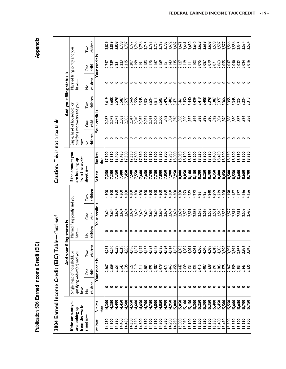|                |                   |                           | 2004 Earned Income Credit (EIC) Tabl                          |                 | $\rm e$ —Continued              |                                |                 |                                     | Caution. This is not a tax table. |                           |                                                               |                            |                           |                                |                 |
|----------------|-------------------|---------------------------|---------------------------------------------------------------|-----------------|---------------------------------|--------------------------------|-----------------|-------------------------------------|-----------------------------------|---------------------------|---------------------------------------------------------------|----------------------------|---------------------------|--------------------------------|-----------------|
|                |                   |                           |                                                               | And your fil    | ing status is-                  |                                |                 |                                     |                                   |                           |                                                               | And your filing status is- |                           |                                |                 |
| are looking up | If the amount you |                           | Single, head of household, or<br>qualifying widow(er) and you |                 | $have-$                         | Married filing jointly and you |                 | If the amount you<br>are looking up |                                   |                           | Single, head of household, or<br>qualifying widow(er) and you |                            | have-                     | Married filing jointly and you |                 |
| from the work- |                   | have-                     |                                                               |                 |                                 |                                |                 | from the work-                      |                                   | have-                     |                                                               |                            |                           |                                |                 |
| sheet is-      |                   | children<br>$\frac{1}{2}$ | <b>One</b><br><b>Jild</b>                                     | children<br>Two | children<br>$\frac{1}{2}$       | δe<br>픟                        | children<br>Two | sheet is-                           |                                   | children<br>$\frac{9}{2}$ | o <sup>e</sup><br>$\frac{1}{6}$                               | children<br>Two            | children<br>$\frac{1}{2}$ | <b>One</b><br><b>Slid</b>      | children<br>Two |
| At least       | But less          |                           | Your credit is-                                               |                 |                                 | Your credit is                 |                 | At least                            | But less                          |                           | Your credit is-                                               |                            |                           | Your credit is-                |                 |
|                | than              |                           |                                                               |                 |                                 |                                |                 |                                     | than                              |                           |                                                               |                            |                           |                                |                 |
| 4,250          | 14,300            |                           | 2,567                                                         | 4,25            |                                 | 2,604                          | 4,300           | 7,250                               | 17,300                            |                           | 2,087                                                         | 3,619                      |                           | 2,247                          | 3,829           |
| 14,300         | 14,350            |                           | 2,559                                                         | 4,240           |                                 | 2,604                          | 4,300           | 17,300                              | 7,350                             |                           | 2,079                                                         | 3,608                      |                           | 2,239                          | 3,819           |
| 14,350         | 14,400            |                           | 2,551                                                         | 4,229           |                                 | 2,604                          | 4,300           | 17,350                              | 7,400                             |                           | 2,071                                                         | 3,598                      |                           | 2,231                          | 3,808           |
| 14,400         | 14,450            | 。。。。。                     | 2,543                                                         | 4,219           | $\circ \circ \circ \circ \circ$ | 2,604                          | 4,300           | 7,400                               | 7,450                             | 。。。。。                     | 2,063                                                         | 3,587                      | 00000                     | 2,223                          | 3,798           |
| 4,450          | 4,500             |                           | 2,535                                                         | 4,208           |                                 | 2,604                          | 4,300           | 7,450                               | 7,500                             |                           | 2,055                                                         | 3,577                      |                           | 2,215                          | 3,787           |
| 4,500          | 4,550             |                           | 2,527                                                         | 4,198           |                                 | 2,604                          | 4,300           | 7,500                               | 7,550                             |                           | 2,047                                                         | 3,566                      |                           | 2,207                          | 3,777           |
| 14,550         | 14,600            | 。。。。。                     | 2,519                                                         | 4,187           | 。。。。。                           | 2,604                          | 4,300           | 17,550                              | 7,600                             | $\circ \circ \circ$       | 2,040                                                         | 3,556                      | 000                       | 2,199                          | 3,766           |
| 14,600         | 14,650            |                           | 2,511                                                         | 4,177           |                                 | 2,604                          | 4,300           | 17,600                              | 7,650                             |                           | 2,032                                                         | 3,545                      |                           | 2,191                          | 3,756           |
| 14,650         | 14,700            |                           | 2,503                                                         | 4,166           |                                 | 2,604                          | 4,300           | 17,650                              | 7,700                             | $\circ$                   | 2,024                                                         | 3,534                      | $\circ$                   | 2,183                          | 3,745           |
| 4,700          | 4,750             |                           | 2,495                                                         | 4,156           |                                 | 2,604                          | 4,300           | 17,700                              | 7,750                             |                           | 2,016                                                         | 3,524                      |                           | 2,175                          | 3,735           |
| 4,750          | 4,800             | 。。。。。                     | 2,487                                                         | 4,145           | 。。。。。                           | 2,604                          | 4,300           | 17,750                              | 7,800                             | 。。。。。                     | 2,008                                                         | 3,513<br>3,503             |                           | 2,167                          | 3,724           |
| 14,800         | 4,850             |                           | 2,479                                                         | 4,135           |                                 | 2,604                          | 4,300           | 17,800                              | 7,850                             |                           | 2,000                                                         |                            |                           | 2,159                          |                 |
| 14,850         | 14,900            |                           | 2,471                                                         | 4,124           |                                 | 2,604                          | 4,300           | 17,850                              | 7,900                             |                           | 1,992                                                         | 3,492                      | 。。。。。                     | 2,151                          | 3,703           |
| 14,900         | 14,950            |                           | 2,463                                                         | 4,114           |                                 | 2,604                          | 4,300           | 17,900                              | 17,950                            |                           | 1,984                                                         | 3,482                      |                           | 2,143                          | 3,692           |
| 4,950          | 5,000             |                           | 2,455                                                         | 4,103           |                                 | 2,604                          | 4,300           | 17,950                              | 8,000                             |                           | ,976                                                          | 3,471                      |                           | 2,135                          | 3,682           |
| 5,000          | 5,050             |                           | 2,447                                                         | 4,093           |                                 | 2,604                          | 4,300           | 18,000                              | 8,050                             |                           | ,968                                                          | 3,461                      |                           | 2,127                          | 3,671           |
| 5,050          |                   |                           | 2,439                                                         | 4,082           |                                 | 2,599                          | 4,293           | 8,050                               | $8,150$<br>$8,150$                |                           | ,960                                                          | 3,450                      |                           | 2,119                          | 3,650           |
| 5,100          | 5,100<br>5,150    | 。。。。。                     | 2,431                                                         | 4,071           | 。。。。。                           | 2,591                          | 4,282           | 8,100                               |                                   | 。。。。                      | ,952                                                          | 3,440                      | 0000                      | 2,111                          |                 |
| 5, 150         | 5,200             |                           | 2,423                                                         | 4,061           |                                 | 2,583                          | 4,272           | 18,150                              | 8,200                             |                           | .944                                                          | 3,429                      |                           | 2,103                          | 3,640           |
| 5,200          | 5,250             |                           | 2,415                                                         | 4.050           |                                 | 2,575                          | 4,261           | 8,200                               | 8,250                             | $\circ$                   | ,936                                                          | 3,419                      | $\circ$                   | 2.095                          | 3,629           |
| 5,250          | 5,300             |                           | 2,407                                                         | 4,040           |                                 | 2,567                          | 4,251           | 8,250                               | 8,300                             |                           | ,928                                                          | 3,408                      |                           | 2,087                          | 3,619           |
| 5,300          | 5,350             |                           | 2,339                                                         | 4,029           |                                 | 2,559                          | 4,240           | 8,300                               | 8,350                             |                           | ,920                                                          | 3,398                      |                           | 2,079                          | 3,608           |
| 5,350          | 5,400             | 。。。。。                     | 2,391                                                         | 4,019           | $\circ \circ \circ \circ \circ$ | 2,551                          | 4,299           | 8,350                               | 8,400                             | 。。。。。                     | 912                                                           | 3,387                      | 。。。。。                     | 2,071                          | 3,598           |
| 5,400          | 5,450             |                           | 2,383                                                         | 4,008           |                                 | 2,543                          | 4,219           | 8,400                               | 8,450                             |                           | 66'                                                           | 3,377                      |                           | 2,063                          | 3,587           |
| 5,450          | 5,500             |                           | 2,375                                                         | 3.998           |                                 | 2,535                          | 4,208           | 8,450                               | 8,500                             |                           | 896                                                           | 3,366                      |                           | 2,055                          | 3.577           |
| 5,500          | 5,550             |                           | 2,367                                                         | 3,987           |                                 | 2,527                          | 4,198           | 18,500                              | 8,550                             |                           | 888,                                                          | 3,355                      |                           | 2,047                          | 3,566           |
| 5,550          | 5,600             |                           | 2,359                                                         | 3,977           |                                 | 2,519                          | 4,187           | 18,550                              | 8,600                             | 000                       | ,880                                                          | 3,345                      |                           | 2,040                          | 3,556           |
| 5,600          | 5,650             | 00000                     | 2,351                                                         | 3,966           | 。。。。。                           | $2,5$                          | 4,177           | 8,600                               | 8,650                             |                           | .872                                                          | 3,334                      | 。。。。。                     | 2,032                          | 3,545           |
| 5,650          | 5,700<br>5,750    |                           | 2,343<br>2,335                                                | 3,956           |                                 | 2,503                          | 4,156<br>4,156  | 8,650                               | 18,700<br>18,750                  | $\circ$                   | ,864                                                          | 3,324                      |                           | 2,024                          | 3,534<br>3,524  |
| 5,700          |                   |                           |                                                               | 3,945           |                                 | 2,495                          |                 | 8,700                               |                                   |                           | ,856                                                          |                            |                           |                                |                 |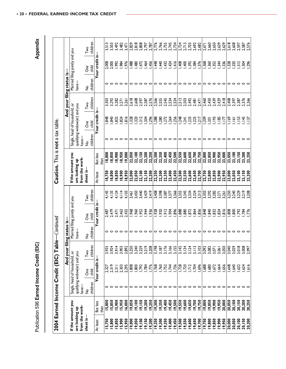Publication 596 Earned Income Credit (EIC)

|                                  | Publication 596 Earned Income Credit (El |                                 |                               | ධ              |                                 |                                |                |                                  |                  |                                   |                               |                            |                |                                | Appendix       |
|----------------------------------|------------------------------------------|---------------------------------|-------------------------------|----------------|---------------------------------|--------------------------------|----------------|----------------------------------|------------------|-----------------------------------|-------------------------------|----------------------------|----------------|--------------------------------|----------------|
|                                  |                                          |                                 |                               |                |                                 |                                |                |                                  |                  |                                   |                               |                            |                |                                |                |
| 2004                             | Earned Income Credit (EIC)               |                                 |                               | <u>ह्य</u>     | ble-Continued                   |                                |                |                                  |                  | Caution. This is not a tax table. |                               |                            |                |                                |                |
|                                  |                                          |                                 |                               | And your       | filing status is-               |                                |                |                                  |                  |                                   |                               | And your filing status is- |                |                                |                |
|                                  | If the amount you                        |                                 | Single, head of household, or |                |                                 | Married filing jointly and you |                | If the amount you                |                  |                                   | Single, head of household, or |                            |                | Married filing jointly and you |                |
| from the work-<br>are looking up |                                          | have-                           | qualifying widow(er) and you  |                | have-                           |                                |                | from the work-<br>are looking up |                  | have-                             | qualifying widow(er) and you  |                            | have-          |                                |                |
| sheet is-                        |                                          | $\frac{1}{2}$                   | Ō                             | Two            | $\hat{z}$                       | δe                             | Two            | sheet is-                        |                  | $\frac{1}{2}$                     | Ōе<br>О                       | Two                        | $\overline{z}$ | <b>One</b>                     | Two            |
|                                  |                                          | children                        | $\frac{12}{5}$                | children       | children                        | $\frac{1}{5}$                  | children       |                                  |                  | children                          | child                         | children                   | children       | <b>Slirt</b>                   | children       |
| At least                         | But less                                 | ≻                               | our credit is-                |                |                                 | Your credit is                 |                | At least                         | But less         |                                   | Your credit is-               |                            |                | Your credit is                 |                |
|                                  | than                                     |                                 |                               |                |                                 |                                |                |                                  | than             |                                   |                               |                            |                |                                |                |
| 5,750                            | 15,800                                   |                                 | 2,327                         | 3,93           |                                 | 2,487                          | 4,145          | 18,750                           | 18,800           |                                   | 848                           | 3,303                      |                | 2,008                          | 3,513          |
| 5,800                            | 15,850                                   |                                 | 2,319                         | 3,924          |                                 | $2,479$<br>$2,471$             | 4,135          | 18,800                           | 18,850           |                                   | 840                           | 3,292                      |                | 2,000                          | 3,503          |
| 5,850                            | 5,900                                    |                                 | $2,3$                         | 3,914          |                                 |                                | 4,124          | 8,850                            | 8,900            |                                   | ,832                          | 3,282                      |                | 66'                            | 3,492          |
| 5,900<br>5.950                   | 16,000<br>15,950                         |                                 | 2,303<br>2,295                | 3,903          | $\circ \circ \circ \circ \circ$ | 2,455<br>2,463                 | 4,114<br>4,103 | 18,900<br>18,950                 | 18,950<br>19,000 | 。。。。。                             | $\frac{816}{6}$<br>824        | 3,271<br>3,261             | 00000          | ,984<br>976                    | 3,482<br>3,47  |
| 9,000                            | 9,050                                    |                                 |                               | 3,892          |                                 | ,968                           | 3,46           | 22,000                           | 22,050           |                                   | 328                           | 2,618                      |                | ,488                           | 2,829          |
| 9,050                            | 19,100                                   |                                 | 808                           | 3,240          | 00000                           | ,960                           | 3,450          | 22,050                           | 22,100           | 00000                             | ,320                          | 2,608                      | 00             | $rac{48}{5}$                   | 2,818          |
| 9,100                            | 19,150                                   |                                 | ,792                          | 3,229          |                                 | ,952                           | 3,440          | 22,100                           | 22,150           |                                   | 312                           | 2,597                      |                | 472                            | 2,808          |
| 9,150                            | 19,200                                   |                                 | ,784                          | 3,219          |                                 | ,944                           | 3,429          | 22,150                           | 22,200           |                                   | 304                           | 2,587                      |                | ,464                           | 2,797          |
| 9,200                            | 19,250                                   |                                 | ,776                          | 3,208          |                                 | ,936                           | 3,419          | 22,200                           | 22,250           |                                   | 296                           | 2,576                      | $\epsilon$     | 456                            | 2,787          |
| 9,250                            | 19,300                                   |                                 | ,768                          | 3,198          |                                 | ,928                           | 3,408          | 22,250                           | 22,300           |                                   | .88 <sub>c</sub>              | 2,566                      | 0              | 448                            | 2,776          |
| 9,300                            | 19,350                                   |                                 | 1,760                         | 3,187          |                                 | ,920                           | 3,398          | 22,300                           | 22,350           |                                   | 280<br>272                    | 2,555                      |                | 440                            | 2,766          |
| 9,350                            | 9,400                                    |                                 |                               | 3,176          | $\circ \circ \circ \circ \circ$ | 912                            | 3,387          | 22,350                           | 22,400           | 。。。。。                             |                               | 2,545                      |                | 432                            | 2,755          |
| 9,400                            | 19,450                                   |                                 | 744                           | 3,166          |                                 | 904                            | 3,377          | 22,400                           | 22,450           |                                   | .264                          | 2,534                      |                | ,424                           | 2,745          |
| 9,450                            | 19,500                                   |                                 | ,736                          | 3,155          |                                 | 896                            | 3,366          | 22,450                           | 22,500           |                                   | 256                           | 2,524                      | ○              | 416                            | 2,734          |
| 9,500                            | 19,550                                   |                                 | צוצלא<br>אלא                  | 3,145          |                                 | ,888                           | 3,355          | 22,500                           | 22,550           |                                   | .248                          | 2,513                      |                | 408                            | 2,724<br>2,713 |
| 9,550                            | 19,600                                   |                                 |                               | 3,134          |                                 | ,880                           | 3,345          | 22,550                           | 22,600           |                                   | 741                           | 2,503                      | 000            | 400                            |                |
| 9,600                            | 19,650                                   |                                 |                               | 3,124          |                                 | ,872                           | 3,334          | 22,600                           | 22,650           |                                   | ,233                          | 2,492                      |                | 392                            | 2,703          |
| 9,650                            | 19,700                                   |                                 |                               | 3,113          | $\circ \circ \circ \circ \circ$ | ,864                           | 3,324          | 22,650                           | 22,700           | $\circ \circ \circ \circ \circ$   | 225                           | 2,481                      |                | 384                            | 2,692          |
| 9,700                            | 19,750                                   |                                 | ,6%                           | 3,103          |                                 | 856                            | 3,313          | 22,700                           | 22,750           |                                   | $\overline{2}$                | 2,471                      | っ              | 376                            | 2,682          |
| 9,750                            | 19,800                                   |                                 | ,688                          | 3,092          | $\circ \circ \circ \circ \circ$ | 848                            | 3,303          | 22,750                           | 22,800           | 。。。。。                             | 002                           | 2,460                      | 0              | ,368                           | 2,671          |
| 19,800                           | 19,850                                   |                                 | 680                           | 3,082          |                                 | ,840                           | 3,292<br>3,282 | 22,800                           | 22,850           |                                   | 201                           | 2,450                      | $\circ$        | 360                            | 2,660          |
| 19,850                           | 19,900                                   |                                 | 672                           | 3,071          |                                 | ,832                           |                | 22,850                           | 22,900           |                                   | ,193                          | 2,439                      |                | 352                            | 2,650          |
| 19,900                           | 19,950                                   |                                 | ,664                          | 3,061          |                                 | ,824                           | 3,271          | 22,900                           | 22,950           |                                   | ,185                          | 2,429                      |                | 344                            | 2,639          |
| 9,950                            | 20,000                                   |                                 | 656                           | 3,050          |                                 | $\frac{8}{6}$                  | 3,261          | 22,950                           | 23,000           |                                   | ZLÍ.                          | 2,418                      | $\circ$        | 336                            | 2,629          |
| 20,000                           | 20,050                                   |                                 | ,648                          | 3,040          | 000                             | 808                            | 3,250          | 23,000                           | 23,050           | 000                               | $\frac{1}{69}$                | 2,408                      | 00             | 328                            | 2,618          |
| 20,050                           | 20,100                                   |                                 | 640                           | 3,029          |                                 | 800                            | 3,240          | 23,050                           | 23,100           |                                   | 161                           | 2,397                      |                | 320                            | 2,608          |
| 20,100                           | 20,150                                   |                                 | ,632                          | 3,018          |                                 | 792                            | 3,229          | 23,100                           | 23,150           |                                   | .153                          | 2,387                      |                | 312                            | 2,597          |
| 20,150<br>20,200                 | 20,200<br>20,250                         | $\circ \circ \circ \circ \circ$ | 624                           | 3,008<br>2.997 |                                 | .776<br>,784                   | 3,219          | 23,150<br>23,200                 | 23,200<br>23.250 | $\circ$ $\circ$                   | $\frac{145}{1137}$            | 2,376<br>2,366             |                | 304<br>4<br>304                | 2,587<br>2,576 |
|                                  |                                          |                                 |                               |                |                                 |                                | 3,208          |                                  |                  |                                   |                               |                            |                |                                |                |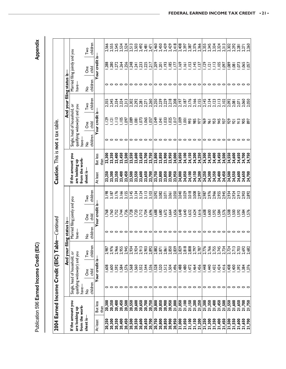| 2004 Earned Income Credit (EIC) Table— $\emph{Continued}$ |                  |                           |                                                               |                 |                 |                                |                 |                                                       |                  |                           |                                                               |                            |                 |                                |                 |
|-----------------------------------------------------------|------------------|---------------------------|---------------------------------------------------------------|-----------------|-----------------|--------------------------------|-----------------|-------------------------------------------------------|------------------|---------------------------|---------------------------------------------------------------|----------------------------|-----------------|--------------------------------|-----------------|
|                                                           |                  |                           |                                                               | And your f      | ling status is- |                                |                 |                                                       |                  |                           |                                                               | And your filing status is- |                 |                                |                 |
| If the amount you<br>from the work-<br>are looking up     |                  | have-                     | qualifying widow(er) and you<br>Single, head of household, or |                 | $have-$         | Married filing jointly and you |                 | If the amount you<br>from the work-<br>are looking up |                  | have-                     | Single, head of household, or<br>qualifying widow(er) and you |                            | $have-$         | Married filing jointly and you |                 |
| sheet is-                                                 |                  | children<br>$\frac{1}{2}$ | $\delta$<br>$\frac{12}{10}$                                   | children<br>Two | children<br>ş   | One<br><b>Slid</b>             | children<br>Two | sheet is-                                             |                  | children<br>$\frac{1}{2}$ | $\delta$<br>$\frac{12}{5}$                                    | children<br>Two            | children<br>ż   | o <sup>e</sup><br>Pilip        | children<br>Two |
| At least                                                  | But less         |                           | Your credit is                                                |                 |                 | Your credit is-                |                 | At least                                              | But less         |                           | Your credit is-                                               |                            |                 | Your credit is-                |                 |
|                                                           | than             |                           |                                                               |                 |                 |                                |                 |                                                       | than             |                           |                                                               |                            |                 |                                |                 |
| 20,250                                                    | 20,300           | 0                         | 608                                                           | 2,987           |                 | 768                            | 3,198           | 23,250                                                | 23,300           |                           | $\frac{1}{2}$                                                 | 2,355                      |                 | ,288                           | 2,566           |
| 20,300                                                    | 20,350           | $\circ$                   | 80                                                            | 2,976           |                 | ,760                           | 3,187           | 23,300                                                | 23,350           |                           | $\overline{2}$                                                | 2,345                      |                 | <b>280</b>                     | 2,555           |
| 20,350                                                    | 20,400           | $\circ$                   | 592                                                           | 2,966           |                 | 752                            | 3,176           | 23,350                                                | 23,400           |                           | $\frac{1}{2}$                                                 | 2,334                      |                 | 272                            | 2,545           |
| 20,400                                                    | 20,450           | $\circ$                   | 584                                                           | 2,955           | 。。。。。           | .744                           | 3,166           | 23,400                                                | 23,450           | 。。。。。                     | 105                                                           | 2,324                      | 。。。。。           | .264                           | 2,534           |
| 20,450                                                    | 20,500           | $\circ$                   | 576                                                           | 2,945           |                 | 736                            | 3.155           | 23,450                                                | 23,500           |                           | 097                                                           | 2,313                      |                 | 256                            | 2.524           |
| 20,500                                                    | 20,550           |                           | 568                                                           | 2,934           |                 | 728                            | 3,145           | 23,500                                                | 23,550           |                           | ,089                                                          | 2,302                      |                 | 248                            | 2,513           |
| 20,550                                                    | 20,650<br>20,600 | 。。。。                      | 560                                                           | 2,924           |                 | 720                            | 3,134<br>3,124  | 23,550                                                | 23,600           |                           | 073<br>ē                                                      | 2,292<br>2,281             |                 | 233<br>$\overline{5}$          | 2,503<br>2,492  |
| 20,600<br>20,650                                          | 20,700           |                           | .544                                                          | 2,913<br>2,903  |                 | 704                            | 3,113           | 23,600<br>23,650                                      | 23,700<br>23,650 |                           | ,065                                                          | 2,271                      |                 | ,25                            | 2,481           |
| 20,700                                                    | 20,750           | $\circ$                   | 56                                                            | 2,892           | 00000           | 696                            | 3,103           | 23,700                                                | 23,750           | 。。。。。                     | 057                                                           | 2,260                      | 。。。。。           | 217                            | 2.47            |
| 20,750                                                    | 20,800           | 0                         | 528                                                           | 2,882           |                 | ,688                           | 3,092           | 23,750                                                | 23,800           |                           | 6k0                                                           | 2,250                      |                 | 209                            | 2,460           |
| 20,800                                                    | 20,850           | $\circ$                   | 520                                                           | 2,871           |                 | ,680                           | 3,082           | 23,800                                                | 23,850           |                           | $\overline{a}$                                                | 2,239                      |                 | 50 <sub>l</sub>                | 2,450           |
| 20,850                                                    | 20,900           | $\circ$                   | $\overline{5}$                                                | 2,861           |                 | 572                            | 3,071           | 23,850                                                | 23,900           |                           | ,033                                                          |                            |                 | $\frac{1}{2}$                  | 2,439           |
| 20,900                                                    | 20,950           | $\circ$ $\circ$           | ,504                                                          | 2,850           | 00000           | .664                           | 3,061           | 23,900                                                | 23,950           | 00000                     | 025                                                           | 2,218                      | 。。。。。           | $\frac{185}{281}$              | 2,429           |
| 20,950                                                    | 21,000           |                           | 496                                                           | 2.839           |                 | 656                            | 3,050           | 23,950                                                | 24,000           |                           | $\overline{0}$                                                | 2,208                      |                 |                                | 2.418           |
| 21,000                                                    | 21,050           | 00                        | ,488                                                          | 2,829           |                 | \$48                           | 3,040           | 24,000                                                | 24,050           |                           | 600'                                                          | 2,197                      |                 | 69                             | 2,408           |
| 21,050                                                    | 21,100           |                           | ,480                                                          | 2,818           |                 | 640                            | 3,029           | 24,050                                                | 24,100           |                           | ē                                                             | 2,187<br>2,176             |                 | $\overline{16}$                | 2,397           |
| 21,100                                                    | 21,150           | $\circ$                   | 472                                                           | 2,808           |                 | ,632                           | 3,018           | 24,100                                                | 24,150           | 0000                      | 993                                                           |                            |                 | $\frac{153}{2}$                | 2,387           |
| 21,150                                                    | 21,200           | $\circ$                   | ,464                                                          | 2,797           | 00000           | 624                            | 3,008           | 24,150                                                | 24,200           |                           | 985                                                           | 2,166                      | 。。。。。           | $-145$                         | 2,376           |
| 21,200                                                    | 21,250           | $\circ$                   | ,456                                                          | 2.787           |                 | 616                            | 2,997           | 24,200                                                | 24,250           | $\circ$                   | 77                                                            | 2,155                      |                 | 137                            | 2,366           |
| 21,250                                                    | 21,300           | 0                         | ,448                                                          | 2,776           |                 | ,608                           | 2,987           | 24,250                                                | 24,300           |                           | 969                                                           |                            |                 | .129                           | 2,355           |
| 21,300                                                    | 21,350           | $\circ$                   | 40                                                            | 2,766           |                 | <b>SOS</b>                     | 2,976           | 24,300                                                | 24,350           | 000                       | $\overline{56}$                                               | 2.133<br>2.133<br>2.123    |                 | $\vec{a}$                      | 2,334<br>2,334  |
| 21,350                                                    | 21,400           | $\circ$                   | ,432                                                          | 2,755           |                 | 592                            | 2,966           | 24,350                                                | 24,400           |                           | 953                                                           |                            |                 | $\equiv$                       |                 |
| 21,400                                                    | 21,450           | $\circ$                   | ,424                                                          | 2,745           | 00000           | $-584$                         | 2,955           | 24,400                                                | 24,450           | $\circ$ $\circ$           | \$45                                                          | 2,113                      | 。。。。。           | 105                            | 2,324           |
| 21,450                                                    | 21,500           |                           | 416                                                           | 2,734           |                 | 576                            | 2,945           | 24,450                                                | 24,500           |                           | 937                                                           | 2,102                      |                 | 760                            | 2,313           |
| 21,500                                                    | 21,550           | 0<br>$\circ$              | 408                                                           | 2,724           | 000             | 508                            | 2,934           | 24,500                                                | 24,550           | 00                        | 929                                                           | 2,092                      | 000             | 680                            | 2,302           |
| 21,550                                                    | 21,600           | $\circ$                   | 400<br>392                                                    | 2,713           |                 | 500<br>592                     | 2,924<br>2,913  | 24,550                                                | 24,600           |                           | $\frac{2}{9}$<br><b>P21</b>                                   | 2,081<br>2,071             |                 | g g                            | 2,292<br>2,281  |
| 21,600<br>21,650                                          | 21,650<br>21,700 | $\circ$                   |                                                               | 2,703           | $\circ$         |                                | 2,903           | 24,600<br>24,650                                      | 24,650<br>24,700 | 0                         |                                                               | 2,060                      |                 |                                |                 |
| 21,700                                                    | 1,750            |                           | 376.                                                          | 2,692<br>2,682  |                 | 576<br>PBQ                     | 2,892           | 24,700                                                | 24,750           |                           | <b>SSS</b>                                                    | 2,050                      | $\circ$ $\circ$ | 0.57<br>195                    | 2,271           |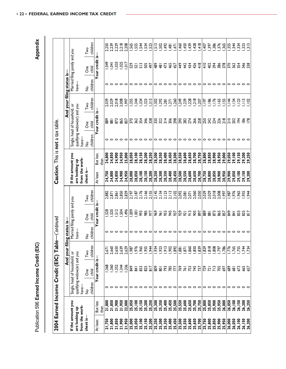Publication 596 Earned Income Credit (EIC)

|                                  | Publication 596 Earned Income Credit (El |             |                              | ධ                               |                           |                                  |                      |                                  |                                   |                     |                                  |                            |                     |                                   | Appendix                     |
|----------------------------------|------------------------------------------|-------------|------------------------------|---------------------------------|---------------------------|----------------------------------|----------------------|----------------------------------|-----------------------------------|---------------------|----------------------------------|----------------------------|---------------------|-----------------------------------|------------------------------|
| 2004                             | Earned Income                            |             | (EIC)<br>Credit              | $\overline{\mathbf{r}}$         | <b>ble</b> —Continued     |                                  |                      |                                  | Caution. This is not a tax table. |                     |                                  |                            |                     |                                   |                              |
|                                  |                                          |             |                              | And your                        | filing status is-         |                                  |                      |                                  |                                   |                     |                                  | And your filing status is- |                     |                                   |                              |
|                                  | If the amount you                        |             | Single, head of household,   | δ                               |                           | Married filing jointly and you   |                      | If the amount you                |                                   |                     | Single, head of household, or    |                            |                     | Married filing jointly and you    |                              |
| are looking up<br>from the work- |                                          | have-       | qualifying widow(er) and you |                                 | have-                     |                                  |                      | from the work-<br>are looking up |                                   | have-               | qualifying widow(er) and you     |                            | have-               |                                   |                              |
| sheet is-                        |                                          | ž           | One                          | Two                             | $\hat{z}$                 | $\sigma$                         | $Tw$ o               | sheet is-                        |                                   | ž                   | O <sup>ne</sup>                  | Two                        | $\frac{1}{2}$       | Ōе<br>О                           | Two                          |
| At least                         | But less                                 | children    | Your credit is<br>child      | children                        | children                  | Your credit is-<br>$\frac{1}{6}$ | children             | At least                         |                                   | children            | Your credit is-<br>$\frac{1}{6}$ | children                   | children            | Your credit is-<br>$\frac{12}{5}$ | children                     |
|                                  | than                                     |             |                              |                                 |                           |                                  |                      |                                  | But less<br>than                  |                     |                                  |                            |                     |                                   |                              |
| 21,750                           |                                          |             | 368                          | 2,67                            |                           | 528                              |                      | 24,750                           | 24,800                            |                     | 88                               | 2,039                      |                     | \$                                | 2,250                        |
| 21,800                           | 21,800<br>21,850                         |             | 360                          | 2,660                           |                           | 520                              | 2,882<br>2,871       | 24,800                           | 24,850                            |                     | $\overline{\mathbf{g}}$          | 2,029                      |                     | $\overline{4}$                    | 2,239                        |
| 21,850                           | 21,900                                   |             | 352                          | 2,650                           |                           | $\overline{5}$                   | 2,861                | 24,850                           | 24,900                            |                     | 873                              | 2,018                      |                     | ,033                              | 2,229                        |
| 21,900                           | 21,950                                   | 。。。。。。。。。。。 | 336                          | 2,639                           |                           | řй                               | 2,850                | 24,900                           | 24,950                            | 。。。。。               | 865                              | 2,008                      | 。。。。。               | 025                               | 2,218                        |
| 21,950                           | 22,000                                   |             |                              | $\frac{2,629}{1,987}$           |                           | 496                              | 2,839                | 24,950                           | 25,000                            |                     | 65                               | 1,997                      |                     | $\frac{1}{2}$                     | 2,208                        |
| 25,000                           | 25,050                                   |             | <b>849</b>                   |                                 |                           | Ş,                               | 2, 197<br>2, 187     | 28,000                           | 28,050                            | $\circ \circ \circ$ | $\overline{50}$                  | ,355                       | 000                 | 529                               | 565                          |
| 25,050                           | 25,100                                   |             | $\overline{a}$               | 1,976                           |                           | $\overline{5}$                   |                      | 28,050                           | 28,100                            |                     | 362                              | 344                        |                     | $\overline{5}$                    | 555                          |
| 25,100                           | 25,150                                   |             | 83                           |                                 |                           | 993                              | 2,176                | 28,100                           | 28,150                            |                     | 354                              | ,334                       |                     | 513                               | <u>zi vi vi</u>              |
| 25,150                           | 25,200                                   |             | 825                          |                                 |                           | 985                              | 2,155                | 28,150                           | 28,200                            |                     | 346                              | ,323                       |                     | 505                               |                              |
| 25,200<br>25,250                 | 25,250                                   |             | $\overline{8}$               |                                 |                           | 977                              |                      | 28,200                           | 28,250                            |                     |                                  | $\frac{313}{2}$            |                     | 497                               |                              |
|                                  | 25,300                                   |             | $rac{6}{8}$                  |                                 |                           | 969                              | 2.12<br>2.13<br>2.13 | 28,250                           | 28,300                            |                     | 330                              | 302                        | 。。                  | 489                               | <b>502</b><br>202            |
| 25,300                           | 25,350                                   |             |                              | 1,923                           | 00000                     | $\overline{56}$                  |                      | 28,300                           | 28,350                            |                     | 322                              | .292                       |                     | $\overline{a}$                    |                              |
| 25,350                           | 25,400                                   |             | 793                          |                                 |                           | 953                              |                      | 28,350                           | 28,400                            |                     | 314                              | $-281$                     | $\circ$             | 473                               | 492                          |
| 25,400<br>25,450                 | 25,450<br>25,500                         |             | 785                          | .892                            |                           | 345                              | $2,113$<br>$2,102$   | 28,400                           | 28,450                            | $\circ$             |                                  | $\overline{27}$            | $\circ$             | 457<br>457                        | $\overline{a}$               |
|                                  |                                          |             | 77                           |                                 |                           | 937                              |                      | 28,450                           | 28,500                            |                     | 306                              | ,260                       |                     |                                   | 47                           |
| 25,500                           | 25,550                                   |             | 69                           | 88.                             | $\circ \circ \circ$       | 929                              | 2,092                | 28,500                           | 28,550                            | $\circ \circ \circ$ | 290                              | .249                       | $\circ \circ \circ$ | 449                               | ,460                         |
| 25,550                           | 25,600                                   |             | $\overline{\epsilon}$        | $\ddot{\mathbf{g}}$             |                           | $\overline{5}$                   | 2,081                | 28,550                           | 28,600                            |                     | 282                              | ,239                       |                     | 44                                | ,450                         |
| 25,600                           | 25,650                                   |             | 753                          | 86 BC                           |                           | $\frac{2}{9}$                    | 2,071                | 28,600                           | 28,650                            |                     | 274                              | 228                        |                     | 434                               | ,439                         |
| 25,650                           | 25,700                                   |             | 745<br>737                   |                                 | $\circ$ $\circ$           | \$0                              | 2,060                | 28,650                           | 28,700                            |                     | $\frac{88}{25}$                  | 218                        | $\circ$ $\circ$     | 418                               | ,428                         |
| 25,700                           | 25,750                                   |             |                              | 839                             |                           | 597                              | 2,050                | 28,700                           | 28,750                            |                     |                                  | $-207$                     |                     |                                   | 418                          |
| 25,750                           | 25,800                                   |             | $\frac{5}{271}$              | 629                             | $\circ \circ \circ$       | 88                               | 2,039                | 28,750                           | 28,800                            |                     |                                  | 197                        |                     | 410                               | $-407$                       |
| 25,800                           | 25,850                                   |             |                              | $rac{8}{180}$                   |                           | $\overline{8}$                   | 2,029                | 28,800                           | 28,850                            | 000                 | 242                              | 1,186                      | 000                 | 402                               | ,397                         |
| 25,850                           | 25,900                                   |             |                              |                                 |                           | 873                              | 2,018                | 28,850                           | 28,900                            |                     | 234                              | 1,176                      |                     | 394                               | 386                          |
| 25,900                           | 25,950                                   |             | $\frac{5}{20}$               | 797                             |                           | 865                              | 2,008                | 28,900                           | 28,950                            | $\circ$             | 218                              | 165                        | $\circ$ $\circ$     | 386                               |                              |
| 25,950                           | 26,000                                   |             | 697                          |                                 |                           | <b>G57</b>                       | 1997                 | 28,950                           | 29,000                            |                     |                                  | 1.155                      |                     | 378                               | 3765                         |
| 26,000                           | 26,050                                   |             | 689                          | $\frac{88}{176}$                | $\circ \circ \circ \circ$ | <b>849</b>                       | ,987                 | 29,900                           | 29,050                            | $\circ$ $\circ$     | $\frac{1}{2}$                    | $-14$                      | 00                  | 370                               |                              |
| 26,050                           | 26,100                                   |             | $\overline{8}$               |                                 |                           | $\overline{a}$                   | ,976                 | 29,050                           | 29,100                            |                     | 202                              | 134                        |                     | 362                               | 344                          |
| 26,100                           | 26,150                                   |             | 57                           | 1,755                           | $\circ$                   | 83                               | ,965                 | 29,100                           | 29,150                            |                     | $\frac{5}{4}$                    | 123                        |                     | 354                               | 334                          |
| 26,150<br>26,200                 | 26,200                                   |             | 657<br>657                   | $\frac{15}{4}$<br>$\frac{1}{4}$ |                           | $\frac{25}{817}$                 | 0.944                | 29, 150<br>29, 200               | 29,200                            |                     | $rac{86}{178}$                   | $\frac{13}{10}$            |                     | $346$<br>338                      | $\frac{3}{2}$ $\frac{13}{2}$ |
|                                  | 26,250                                   |             |                              |                                 |                           |                                  |                      |                                  | 29,250                            |                     |                                  |                            |                     |                                   |                              |

● **22** ● **FEDERAL EARNED INCOME TAX CREDIT**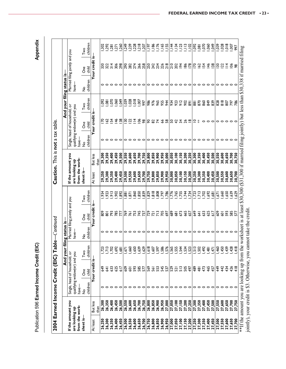|                                  | 2004 Earned Income Credit (EIC) Tabl             |                           |                                                               |                      | e-Continued                     |                                |                                                                                                              |                                  | Caution. This is not a tax table. |                     |                                                               |                       |                            |                                |                 |
|----------------------------------|--------------------------------------------------|---------------------------|---------------------------------------------------------------|----------------------|---------------------------------|--------------------------------|--------------------------------------------------------------------------------------------------------------|----------------------------------|-----------------------------------|---------------------|---------------------------------------------------------------|-----------------------|----------------------------|--------------------------------|-----------------|
|                                  |                                                  |                           |                                                               | And your fil         | ing status is-                  |                                |                                                                                                              |                                  |                                   |                     |                                                               |                       | And your filing status is- |                                |                 |
| from the work-<br>are looking up | If the amount you                                | have-                     | Single, head of household, or<br>qualifying widow(er) and you |                      | have-                           | Married filing jointly and you |                                                                                                              | from the work-<br>are looking up | If the amount you                 | have-               | Single, head of household, or<br>qualifying widow(er) and you |                       | have-                      | Married filing jointly and you |                 |
| sheet is-                        |                                                  | children<br>ە<br>2        | child<br>$\delta$                                             | children<br>Two      | children<br>$\frac{1}{2}$       | One<br>child                   | children<br>Two                                                                                              | sheet is-                        |                                   | children<br>ž       | child<br>One                                                  | children<br>Two       | children<br>ž              | δe<br>$\frac{1}{6}$            | children<br>Two |
| At least                         | But less                                         |                           | Your credit                                                   | <u>ن</u>             |                                 | Your credit                    | <u>ن</u>                                                                                                     | At least                         | But less                          |                     | Your credit is                                                |                       |                            | Your credit is-                |                 |
|                                  | than                                             |                           |                                                               |                      |                                 |                                |                                                                                                              |                                  | than                              |                     |                                                               |                       |                            |                                |                 |
| 26,300<br>26,250                 | 26,300<br>26,350                                 |                           | \$49<br>$\overline{4}$                                        | 713<br>723           |                                 | క్టి<br>ន្ល                    | 923<br>934                                                                                                   | 29,300<br>29,250                 | 29,300<br>29,350                  |                     | $\overline{5}$<br>2                                           | 092<br>$\overline{8}$ |                            | 330<br>322                     | 292<br>302      |
| 26,350                           | 26,400                                           | $\circ \circ \circ \circ$ | 633                                                           | 702                  | 。。。。。                           | pez                            | 913                                                                                                          | 29,350                           | 29,400                            | 。。。。。               | $\frac{1}{2}$                                                 | 070                   | $\circ \circ \circ \circ$  | $\frac{314}{5}$                | $-281$          |
| 26,400                           | 26,450                                           |                           | 625                                                           | ,692                 |                                 | 785                            | 902                                                                                                          | 29,400                           | 29,450                            |                     | 146                                                           | ,060                  |                            | 306                            | $\overline{27}$ |
| 26,450                           | 26,500                                           |                           | $\frac{1}{6}$                                                 | $\overline{8}$       |                                 | F                              | 892                                                                                                          | 29,450                           | 29,500                            |                     | 38                                                            | GRO                   |                            | 298                            | 260             |
| 26,500                           | 26,550                                           |                           | ŝΘ                                                            | 57                   |                                 | 769                            | ଞ୍ଚ                                                                                                          | 29,500                           | 29,550                            |                     | $\frac{5}{2}$                                                 | 039                   |                            | <b>DeC</b>                     | 249             |
| 26,550                           | 26,600                                           |                           | 50l                                                           | ,660                 |                                 | 761                            | $\overline{5}$                                                                                               | 29,550                           | 29,600                            |                     | $\overline{2}$                                                | 028                   | 000                        | 282                            | 239             |
| 26,600                           | 26,650                                           | 。。。。。                     | 593                                                           | ,650                 | $\circ \circ \circ \circ \circ$ | 753                            | ,860                                                                                                         | 29,600                           | 29,650                            | 。。。。。               | $\overline{1}$                                                | 0.018                 |                            | 274                            | ,228            |
| 26,650                           | 26,700                                           |                           | 585                                                           | 639                  |                                 | 745                            | ,850                                                                                                         | 29,650                           | 29,700                            |                     | $\leq$                                                        | 00,100                | $\circ$                    | 266                            | $\frac{218}{2}$ |
| 26,700                           | 26,750                                           |                           | 57                                                            | 629                  |                                 | 737                            | 839                                                                                                          | 29,700                           | 29,750                            |                     | œ                                                             | 997                   | $\circ$                    | 258                            | 207             |
| 26,750                           | 26,800                                           |                           | 569                                                           | 618                  |                                 | 729                            | 829                                                                                                          | 29,750                           | 29,800                            | $\circ$             | 90                                                            | 986                   | 0                          | 250                            | <u>161</u>      |
| 26,800                           | 26,850                                           | 。。。。。                     | 561                                                           | ,607                 | $\circ \circ \circ \circ \circ$ | $\overline{z}$                 | $\frac{8}{18}$                                                                                               | 29,800                           | 29,850                            | $\circ \circ \circ$ | 82                                                            | 976                   | $\circ$                    | 242                            | 186             |
| 26,850                           | 26,900                                           |                           | 553                                                           | 597                  |                                 | 713                            | 808                                                                                                          | 29,850                           | 29,900                            |                     | $\mathcal{F}$                                                 | 965                   | $\circ$                    | 234                            | 176             |
| 26,900                           | 26,950                                           |                           | 545                                                           | ,586                 |                                 | ă                              | 797                                                                                                          | 29,900                           | 29,950                            |                     | $\frac{8}{3}$                                                 | 955                   | $\circ$                    | 226                            | 1,165           |
| 26,950                           | 27,000                                           |                           | 537                                                           | 576                  |                                 | 697                            | ,786                                                                                                         | 29,950                           | 30,000                            | $\circ$             | 38                                                            | 944                   | $\circ$                    | 218                            | $\frac{155}{2}$ |
| 27,000                           | 27,050                                           | 000                       | 529                                                           | 585<br>455           |                                 | 689                            | ,776                                                                                                         | 30,000                           | 30,050                            | $\circ$             | <b>s</b> 4                                                    | 934                   | 0                          | 210                            | $-14$           |
| 27,050                           | 27,100                                           |                           | 521                                                           |                      |                                 | $\overline{3}$                 | ,765                                                                                                         | 30,050                           | 30,100                            | $\circ$ $\circ$     |                                                               | 923                   | $\circ$                    | 202                            | ,134            |
| 27,100                           | 27,150                                           |                           | $\frac{2}{5}$                                                 | $-54$                |                                 | 673                            | ,755                                                                                                         | 30,100                           | 30,150                            |                     | $\frac{4}{3}$                                                 | 912                   | $\circ$                    | $\frac{8}{4}$                  | ,123            |
| 27,150                           | 27,200                                           | $\circ$<br>$\circ$        | 505                                                           | .534                 | 。。。。。                           | 665                            | 744                                                                                                          | 30,150                           | 30,200                            | $\circ$<br>$\circ$  | 26                                                            | 902                   | $\circ$<br>$\circ$         | 186                            | $\equiv$        |
| 27,200                           | 27,250                                           |                           | 489<br>497                                                    | 523<br>$\frac{1}{2}$ |                                 | 657<br>\$                      | ,734<br>723                                                                                                  | 30,200                           | 30,250                            |                     | $\overline{8}$                                                | $\overline{8}$        |                            | 178<br>$\overline{5}$          | 102<br>.092     |
| 27,300<br>27,250                 | 27,300<br>27,350                                 |                           | $\overline{48}$                                               | 502                  |                                 | $\overline{4}$                 | 713                                                                                                          | 30,250<br>30,300                 | 30,300<br>30,350                  | 0                   | $\subseteq$<br>菜                                              | 870<br>$\overline{8}$ | 0<br>$\circ$               | 162                            | $\overline{8}$  |
| 27,350                           | 27,400                                           | 。。。。                      | 473                                                           | 492                  | 。。。。。                           | 63                             | ,702                                                                                                         | 30,350                           | 30,400                            | $\circ \circ \circ$ |                                                               | 860                   |                            | 54                             | 070             |
| 27,400                           | 27,450                                           |                           | 465                                                           | $\overline{48}$      |                                 | 625                            | ,692                                                                                                         | 30,400                           | 30,450                            |                     | $\circ$ $\circ$                                               | 849                   | $\circ$                    | 146                            | ,060            |
| 27,450                           | 27,500                                           | $\circ$                   | 457                                                           | $\overline{47}$      |                                 | $\frac{1}{6}$                  | $\overline{3}$                                                                                               | 30,450                           | 30,500                            | $\circ$             | $\circ$                                                       | 839                   | $\circ$                    | $\frac{8}{2}$                  | \$              |
| 27,500                           | 27,550                                           | 0                         | 449                                                           | 460                  |                                 | \$                             | ΙŹ                                                                                                           | 30,500                           | 30,550                            | 0                   |                                                               | 828                   | 0                          | $\frac{8}{2}$                  | 039             |
| 27,550                           | 27,600                                           | $\circ$                   | 442                                                           | 450                  | $\circ \circ \circ \circ$       | $\overline{S}$                 | ,660                                                                                                         | 30,550                           | 30,600                            | $\circ$             | 0000                                                          | $\frac{8}{8}$         | $\circ$                    | $\overline{2}$                 | ,028            |
| 27,600                           | 27,650                                           | $\circ$                   | 434                                                           | 439                  |                                 | 593                            | ,650                                                                                                         | 30,600                           | 30,650                            | $\circ$             |                                                               | 208                   | $\circ$                    | $\equiv$                       | $\frac{8}{2}$   |
| 27,650                           | 27,700                                           |                           | 426                                                           | ,428                 |                                 | 585                            | ,639                                                                                                         | 30,650                           | 30,700                            | $\circ$             |                                                               | 797                   | 0                          | 88                             | $-00,$          |
| 27,700                           | 27,750                                           |                           | $\frac{4}{8}$                                                 | 418                  |                                 | 57                             | 629                                                                                                          | 30,700                           | 30,750                            |                     |                                                               | 786                   |                            |                                | 997             |
|                                  | **If the amount you are looking up from the      |                           |                                                               |                      |                                 |                                | worksheet is at least \$30,300 (\$31,300 if married filing jointly) but less than \$30,338 if married filing |                                  |                                   |                     |                                                               |                       |                            |                                |                 |
|                                  | jointly), your credit is \$3. Otherwise, you can |                           |                                                               |                      | not take the credit.            |                                |                                                                                                              |                                  |                                   |                     |                                                               |                       |                            |                                |                 |
|                                  |                                                  |                           |                                                               |                      |                                 |                                |                                                                                                              |                                  |                                   |                     |                                                               |                       |                            |                                |                 |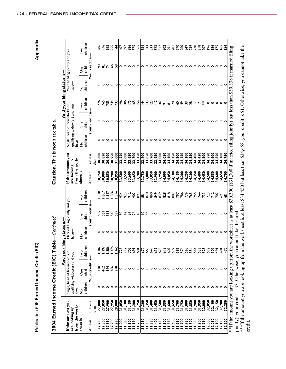Publication 596 Earned Income Credit (EIC)

|                                                     |                                                       |                                 | Publication 596 Earned Income Credit (El                      | ပ                                                                    |                                 |                                 |                                                                                                              |                  |                      |                                 |                                                               |                               |                                 |                                 | Appendix           |  |
|-----------------------------------------------------|-------------------------------------------------------|---------------------------------|---------------------------------------------------------------|----------------------------------------------------------------------|---------------------------------|---------------------------------|--------------------------------------------------------------------------------------------------------------|------------------|----------------------|---------------------------------|---------------------------------------------------------------|-------------------------------|---------------------------------|---------------------------------|--------------------|--|
| 2004                                                | Earned                                                | Income                          | <b>Credit</b>                                                 | ਕ<br>ਜ<br>(EIC)                                                      | ble-Continued                   |                                 |                                                                                                              |                  | Caution. This is not | $\mathfrak{a}$                  | tax table.                                                    |                               |                                 |                                 |                    |  |
|                                                     |                                                       |                                 |                                                               |                                                                      |                                 |                                 |                                                                                                              |                  |                      |                                 |                                                               |                               |                                 |                                 |                    |  |
|                                                     |                                                       |                                 |                                                               | And your                                                             | <b>filing status is-</b>        |                                 |                                                                                                              |                  |                      |                                 |                                                               | And your filing status is-    |                                 |                                 |                    |  |
| If the amount you<br>are looking up                 |                                                       |                                 | Single, head of household, or<br>qualifying widow(er) and you |                                                                      | have-                           | Married filing jointly and you  |                                                                                                              | are looking up   | If the amount you    |                                 | Single, head of household, or<br>qualifying widow(er) and you |                               | have-                           | Married filing jointly and you  |                    |  |
| from the work-                                      |                                                       | have-                           |                                                               |                                                                      |                                 |                                 |                                                                                                              | from the work-   |                      | have-                           |                                                               |                               |                                 |                                 |                    |  |
| sheet is-                                           |                                                       | children<br>$\frac{1}{2}$       | child<br>δe                                                   | children<br>Two                                                      | children<br><u>و</u>            | child<br>ð                      | children<br>Two                                                                                              | sheet is-        |                      | children<br>ž                   | child<br>One                                                  | children<br>Two               | children<br>ە<br>2              | child<br>ð                      | children<br>Two    |  |
| At least                                            | But less                                              |                                 | our credit                                                    | ≅.                                                                   |                                 | Your credit is-                 |                                                                                                              | At least         | But less             |                                 | Your credit is                                                |                               |                                 | Your credit is-                 |                    |  |
|                                                     | than                                                  |                                 |                                                               |                                                                      |                                 |                                 |                                                                                                              |                  | than                 |                                 |                                                               |                               |                                 |                                 |                    |  |
| 27,750                                              | 27,800                                                |                                 | $rac{1}{4}$                                                   | 407                                                                  |                                 | <u>ទី ទី</u>                    | $rac{8}{2}$                                                                                                  | 30,750           | 30,800               |                                 |                                                               | 776                           |                                 |                                 | 88                 |  |
| 27,800                                              | 27,850                                                |                                 | 402                                                           | ,397                                                                 |                                 |                                 | 507                                                                                                          | 30,800           | 30,850               |                                 |                                                               | 765                           |                                 |                                 |                    |  |
| 27,850                                              | 27,900                                                |                                 | 394                                                           | 376                                                                  |                                 | 553                             | 597                                                                                                          | 30,850           | 30,900               |                                 |                                                               | 755                           |                                 |                                 | 965                |  |
| 27,900                                              | 27,950                                                | 。。。。。                           | 386                                                           |                                                                      |                                 | 545                             | 586                                                                                                          | 30,900           | 30,950               | 。。。。。                           | 。。。。。                                                         | 74                            | 。。。。。                           | 88738                           | 955                |  |
| 27,950                                              | 28,000                                                |                                 |                                                               | 365                                                                  |                                 | 57                              | 576                                                                                                          | 30,950           | 31,000               |                                 |                                                               | 733                           |                                 |                                 | $\mathbf{\hat{H}}$ |  |
|                                                     |                                                       |                                 |                                                               | 723                                                                  |                                 | ន ។                             | 934                                                                                                          | 33,500           | 33,550               |                                 |                                                               | $rac{8}{8}$                   |                                 | 。。。。                            | 407                |  |
|                                                     |                                                       |                                 |                                                               | 712                                                                  |                                 |                                 | 923                                                                                                          | 33,550           | 33,600               |                                 |                                                               |                               |                                 |                                 | 397                |  |
|                                                     |                                                       |                                 |                                                               | 702                                                                  |                                 | $\frac{4}{26}$                  | 912                                                                                                          | 33,600           | 33,650               |                                 |                                                               | $\overline{5}$                |                                 |                                 | 386                |  |
| 31,000<br>31,150<br>31,150<br>31,200                | 31,050<br>11,100<br>11,150<br>1,250<br>1,250<br>1,200 | 00000                           |                                                               | $\overline{5}$                                                       |                                 |                                 | 902                                                                                                          | 33,650           | 33,700               | 00000                           | 00000                                                         | $\frac{65}{2}$                | $\circ \circ \circ \circ \circ$ |                                 | 375                |  |
|                                                     |                                                       |                                 |                                                               | $\overline{68}$                                                      |                                 | $\overline{8}$                  | $\overline{8}$                                                                                               | 33,700           | 33,750               |                                 |                                                               | 오                             |                                 | $\circ$                         | 365                |  |
|                                                     | $\frac{1}{2}$<br>$m \overline{n} \overline{n}$        |                                 |                                                               | 670                                                                  |                                 | $\subseteq$ $*$                 | $\overline{\overline{\overline{8}}}$                                                                         | 33,750           | 33,800               |                                 |                                                               | $\overline{4}$ $\overline{5}$ |                                 |                                 | 354                |  |
|                                                     | ,350                                                  |                                 |                                                               | 660                                                                  |                                 |                                 | 870                                                                                                          | 33,800           | 33,850               |                                 |                                                               |                               |                                 |                                 | 34                 |  |
|                                                     | ,400                                                  |                                 |                                                               | 649                                                                  |                                 |                                 | 860                                                                                                          | 33,850           | 33,900               |                                 |                                                               | $\overline{2}$                |                                 |                                 | 333                |  |
| 0 SSP' I E<br>0 OSE' I E<br>0 OSE' I E<br>0 SZ' I E | ,450<br>$\overline{m}$                                | 00000                           |                                                               | 639                                                                  |                                 | $\circ \circ \circ$             | 849                                                                                                          | 33,900           | 33,950               | $\circ \circ \circ \circ \circ$ | $\circ \circ \circ \circ \circ$                               | $\tilde{=}$<br>$\overline{5}$ | 。。。。。                           | 00000                           | 323<br>312         |  |
|                                                     | 500                                                   |                                 |                                                               | 628                                                                  |                                 |                                 | 839                                                                                                          | 33,950           | 34,000               |                                 |                                                               |                               |                                 |                                 |                    |  |
|                                                     | 550<br>$\overline{m}$                                 |                                 |                                                               | 618                                                                  |                                 |                                 | 828                                                                                                          | 34,000           | 34,050               |                                 |                                                               | ᅙ                             |                                 |                                 | 302                |  |
|                                                     | 600                                                   |                                 |                                                               | 607                                                                  |                                 |                                 |                                                                                                              | 34,050           | 34,100               |                                 |                                                               | $\overline{\infty}$           |                                 |                                 | $\overline{5}$     |  |
| ,650                                                | 650<br>,700                                           |                                 |                                                               | 586<br>597                                                           |                                 |                                 | 797<br>807                                                                                                   | 34,100           | 34,150               |                                 |                                                               | SO<br>$\overline{2}$          |                                 |                                 | $\frac{281}{270}$  |  |
| 31,500<br>31,550<br>000,15<br>000,150<br>007,150    | 750<br>$\overline{5}$ $\overline{5}$ $\overline{5}$   | 00000                           |                                                               | 576                                                                  |                                 | $\circ \circ \circ \circ \circ$ | 786                                                                                                          | 34,150<br>34,200 | 34,200<br>34,250     | 00000                           | $\circ \circ \circ \circ \circ$                               | $\frac{6}{4}$                 | 。。。。。                           | $\circ \circ \circ \circ \circ$ | 260                |  |
|                                                     | 31,800                                                |                                 |                                                               | 565                                                                  |                                 |                                 | 776                                                                                                          | 34,250           | 34,300               |                                 |                                                               |                               |                                 |                                 | 249                |  |
| 008'IE<br>0SZ'IE                                    | 31,850                                                | $\circ \circ \circ \circ \circ$ | $\circ \circ \circ \circ \circ$                               | 554                                                                  |                                 | $\circ \circ \circ \circ \circ$ | 765                                                                                                          | 34,300           | 34,350               | $\circ \circ \circ \circ \circ$ | $\circ \circ \circ \circ \circ$                               | 282                           | 。。。。。                           | 。。。。。                           | 239                |  |
| 31,850<br>31,900<br>31,950                          | 31,900                                                |                                 |                                                               | 544                                                                  |                                 |                                 | 755                                                                                                          | 34,350           | 34,400               |                                 |                                                               |                               |                                 |                                 | 228                |  |
|                                                     | 950<br>$\overline{a}$                                 |                                 |                                                               | 533                                                                  |                                 |                                 | 744                                                                                                          | 34,400           | 34,450               |                                 |                                                               | $\overline{ }$                |                                 |                                 | 218                |  |
|                                                     | 32,000                                                |                                 |                                                               |                                                                      |                                 |                                 | 733                                                                                                          | 34,450           | 34,500               |                                 |                                                               | 줖                             |                                 |                                 | 207                |  |
| 32,000                                              | 32,050                                                |                                 |                                                               | 512                                                                  |                                 |                                 | 723                                                                                                          | 34,500           | 34,550               |                                 |                                                               |                               |                                 |                                 | $\frac{96}{6}$     |  |
| 32,050                                              | 32,100                                                |                                 |                                                               | 502                                                                  |                                 |                                 | 712                                                                                                          | 34,550           | 34,600               |                                 |                                                               |                               |                                 |                                 | $\frac{8}{6}$      |  |
| 32,100                                              | 32,150                                                |                                 |                                                               | $\frac{16}{7}$                                                       |                                 |                                 | 702                                                                                                          | 34,600           | 34,650               |                                 |                                                               |                               |                                 |                                 | $\overline{5}$     |  |
| 32,150                                              | 32,200<br>32,250                                      | 00000                           | 。。。。。                                                         | $\frac{48}{3}$                                                       | $\circ \circ \circ \circ \circ$ | $\circ \circ \circ \circ \circ$ | $\overline{5}$                                                                                               | 34,650           | 34,700               | $\circ \circ \circ \circ \circ$ | $\circ \circ \circ \circ \circ$                               | 。。。。。                         | 。。。。。                           | 。。。。。                           | 유 25               |  |
| 200<br>32.                                          |                                                       |                                 |                                                               | 470                                                                  |                                 |                                 | $\overline{8}$                                                                                               | 34,700           | 34,750               |                                 |                                                               |                               |                                 |                                 |                    |  |
|                                                     |                                                       |                                 | **If the amount you are looking up from the                   |                                                                      |                                 |                                 | worksheet is at least \$30,300 (\$31,300 if married filing jointly) but less than \$30,338 if married filing |                  |                      |                                 |                                                               |                               |                                 |                                 |                    |  |
|                                                     |                                                       |                                 |                                                               | jointly), your credit is \$3. Otherwise, you cannot take the credit. |                                 |                                 |                                                                                                              |                  |                      |                                 |                                                               |                               |                                 |                                 |                    |  |
|                                                     |                                                       |                                 |                                                               |                                                                      |                                 |                                 |                                                                                                              |                  |                      |                                 |                                                               |                               |                                 |                                 |                    |  |

\*\*\*If the amount you are looking up from the worksheet is at least \$34,450 but less than \$34,458, your credit is \$1. Otherwise, you cannot take the Jounty), you exercities are looking up from the worksheet is at least \$34,450 but less than \$34,458, your credit is \$1. Otherwise, you cannot take the \*\*\*ff the amount you are looking up from the worksheet is at least \$34,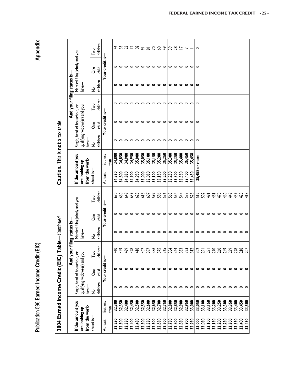|                                                 |                            |                                |                              |                |                     |                |                |                |        |               |        |                               |                |                 |         |         |                 |         |                 |                                 |        |                                 |         |                   |                |                           |     |       |                 |         |                   | 33,450<br>33,500 |         |  |
|-------------------------------------------------|----------------------------|--------------------------------|------------------------------|----------------|---------------------|----------------|----------------|----------------|--------|---------------|--------|-------------------------------|----------------|-----------------|---------|---------|-----------------|---------|-----------------|---------------------------------|--------|---------------------------------|---------|-------------------|----------------|---------------------------|-----|-------|-----------------|---------|-------------------|------------------|---------|--|
|                                                 |                            | Single, head of household, or  | qualifying widow(er) and you | have-          | ş                   | children       |                |                |        | 00            |        | $\circ \circ \circ$           |                | 0               | 0       | $\circ$ | $\circ$         |         | 0               | $\circ \circ \circ \circ$       |        |                                 |         |                   |                | 。。。。。                     |     |       | $\circ$ $\circ$ | $\circ$ | $\circ$           |                  |         |  |
| 2004 Earned Income Credit (EIC) Table-Continued | And your                   |                                |                              |                | ðre                 | $\equiv$       |                | Your credit is |        |               |        |                               |                | 。。。。。           |         |         | $\circ$ $\circ$ | $\circ$ | $\circ$ $\circ$ |                                 |        | $\circ \circ \circ \circ \circ$ |         |                   |                |                           |     | 。。。。。 |                 |         | $\circ$ $\circ$   | $\circ$          | $\circ$ |  |
|                                                 |                            |                                |                              |                | Two                 | children       |                |                | 460    | 49            | 439    | 428                           | $\frac{8}{16}$ | $\overline{40}$ | 397     | 386     | 375             | 365     |                 | 344                             | 333    | $\frac{323}{312}$               |         | $\frac{202}{291}$ | 281            | 270                       | 260 | 249   | 239             | 228     | $\frac{218}{207}$ |                  |         |  |
|                                                 | filing status is-          |                                | have-                        |                | $\overline{z}$      | children       |                |                |        |               |        | 。。。。。                         |                |                 | 。。。。。   |         |                 |         |                 | 。。。。。                           |        |                                 |         |                   |                | 。。。。。                     |     |       | 000             |         | $\circ$ $\circ$   |                  |         |  |
|                                                 |                            | Married filing jointly and you |                              |                | $\frac{1}{5}$<br>å  |                | Your credit is |                |        | $\circ$       |        | $\circ \circ \circ$           |                | 0               | $\circ$ | $\circ$ | $\circ$         |         |                 | $\circ\circ\circ\circ\circ$     |        |                                 |         | 0                 |                | $\circ \circ \circ \circ$ |     | 0     | $\circ$         | $\circ$ | 0                 |                  |         |  |
|                                                 |                            |                                |                              |                | Two                 | children       |                |                | 670    | $\mathcal{S}$ | \$     | <b>638</b>                    |                | $rac{8}{6}$     | 507     | 597     | 586             | 576     |                 | 35338                           |        |                                 |         | $\frac{12}{5}$ 8  | $\overline{5}$ | ୍ବ୍ର                      | 470 | 460   | 49              | 439     | 428               | $\frac{8}{4}$    |         |  |
| Caution. This is not a tax table.               |                            |                                | are looking up               | from the work- | sheet is-           |                | At least       |                | 34,750 | 34,800        | 34,850 | 34,900                        | 34,950         | 35,000          | 35,050  | 35,100  | 35,150          | 35,200  | 35,250          | 35,300                          | 35,350 | 35,400                          | 35.450  |                   |                |                           |     |       |                 |         |                   |                  |         |  |
|                                                 |                            | If the amount you              |                              |                |                     |                | But less       | than           | 34,800 | 34,850        | 34,900 | 34,950                        | 35,000         | 35,050          | 35,100  | 35,150  | 35,200          | 35,250  | 35,300          | 35,350                          | 35,400 | 35,450                          | 5,458   | 35,458 or more    |                |                           |     |       |                 |         |                   |                  |         |  |
|                                                 |                            |                                |                              | have-          | $\frac{9}{2}$       | children       |                |                |        |               |        | $\circ \circ \circ \circ$     |                | 0               | $\circ$ | $\circ$ | $\circ$         |         |                 | 000                             |        | $\circ$                         | $\circ$ | $\circ$           |                |                           |     |       |                 |         |                   |                  |         |  |
|                                                 |                            | Single, head of household, or  | qualifying widow(er) and you |                | δe                  | $\frac{12}{5}$ | Your credit is |                | 0      |               |        | $\circ \circ \circ \circ$     |                | 0               | $\circ$ | $\circ$ | $\circ$ $\circ$ |         |                 | 。。。。。                           |        |                                 |         | $\circ$           |                |                           |     |       |                 |         |                   |                  |         |  |
|                                                 | And your filing status is- |                                |                              |                | Two                 | children       |                |                |        | $\circ$       |        | $\circ \circ \circ$           |                | 0               | $\circ$ | $\circ$ | $\circ$ $\circ$ |         |                 | 。。。。。                           |        |                                 |         | $\circ$           |                |                           |     |       |                 |         |                   |                  |         |  |
|                                                 |                            |                                | have-                        |                | $\frac{1}{2}$       | children       |                |                |        | $\circ$       |        | $\circ \circ \circ$           |                | 0               | $\circ$ | $\circ$ | $\circ$ $\circ$ |         |                 | 000                             |        | $\circ$                         | $\circ$ | 0                 |                |                           |     |       |                 |         |                   |                  |         |  |
|                                                 |                            | Married filing jointly and you |                              |                | ð<br>$\frac{12}{5}$ |                | Your credit is |                |        |               |        | 。。。。。                         |                |                 | 。。。。。   |         |                 |         |                 | $\circ \circ \circ \circ \circ$ |        |                                 |         | $\circ$           |                |                           |     |       |                 |         |                   |                  |         |  |
|                                                 |                            |                                |                              |                | Two                 | children       |                |                | $\pm$  | $\mathbf{3}$  |        | $\frac{23}{2}$ $\frac{24}{2}$ |                |                 | 555222  |         |                 |         |                 |                                 |        | $\overline{ }$                  |         | $\circ$           |                |                           |     |       |                 |         |                   |                  |         |  |
|                                                 |                            |                                |                              |                |                     |                |                |                |        |               |        |                               |                |                 |         |         |                 |         |                 |                                 |        |                                 |         |                   |                |                           |     |       |                 |         |                   |                  |         |  |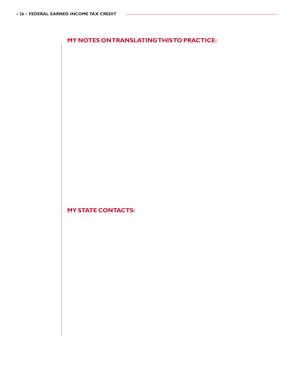**MY NOTES ON TRANSLATING THIS TO PRACTICE:**

**MY STATE CONTACTS:**